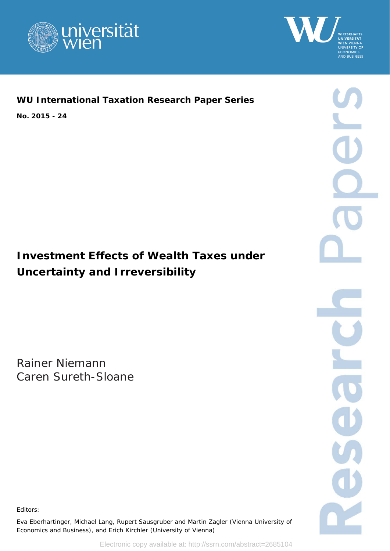



## **WU International Taxation Research Paper Series**

**No. 2015 - 24** 

# **Investment Effects of Wealth Taxes under Uncertainty and Irreversibility**

Rainer Niemann Caren Sureth-Sloane



Editors:

Eva Eberhartinger, Michael Lang, Rupert Sausgruber and Martin Zagler (Vienna University of Economics and Business), and Erich Kirchler (University of Vienna)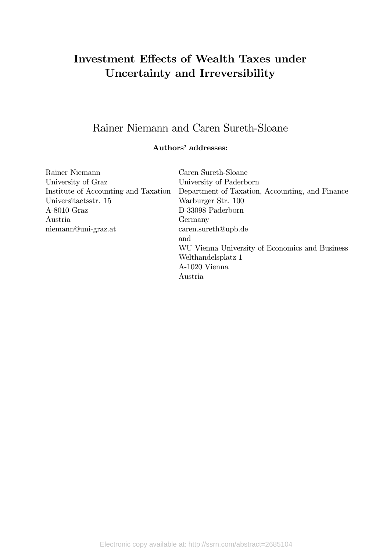# Investment Effects of Wealth Taxes under Uncertainty and Irreversibility

## Rainer Niemann and Caren Sureth-Sloane

### Authors' addresses:

| Rainer Niemann                       | Caren Sureth-Sloane                             |  |  |
|--------------------------------------|-------------------------------------------------|--|--|
| University of Graz                   | University of Paderborn                         |  |  |
| Institute of Accounting and Taxation | Department of Taxation, Accounting, and Finance |  |  |
| Universitaetsstr. 15                 | Warburger Str. 100                              |  |  |
| $A-8010$ Graz                        | D-33098 Paderborn                               |  |  |
| Austria                              | Germany                                         |  |  |
| niemann@uni-graz.at                  | $\alpha$ caren.sureth@upb.de                    |  |  |
|                                      | and                                             |  |  |
|                                      | WU Vienna University of Economics and Business  |  |  |
|                                      | Welthandelsplatz 1                              |  |  |
|                                      | A-1020 Vienna                                   |  |  |
|                                      | Austria                                         |  |  |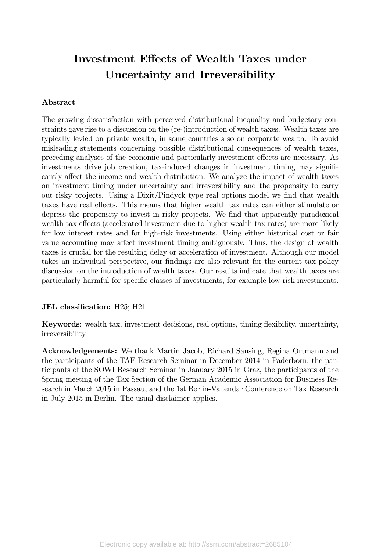# Investment Effects of Wealth Taxes under Uncertainty and Irreversibility

#### Abstract

The growing dissatisfaction with perceived distributional inequality and budgetary constraints gave rise to a discussion on the (re-)introduction of wealth taxes. Wealth taxes are typically levied on private wealth, in some countries also on corporate wealth. To avoid misleading statements concerning possible distributional consequences of wealth taxes, preceding analyses of the economic and particularly investment effects are necessary. As investments drive job creation, tax-induced changes in investment timing may significantly affect the income and wealth distribution. We analyze the impact of wealth taxes on investment timing under uncertainty and irreversibility and the propensity to carry out risky projects. Using a Dixit/Pindyck type real options model we find that wealth taxes have real effects. This means that higher wealth tax rates can either stimulate or depress the propensity to invest in risky projects. We find that apparently paradoxical wealth tax effects (accelerated investment due to higher wealth tax rates) are more likely for low interest rates and for high-risk investments. Using either historical cost or fair value accounting may affect investment timing ambiguously. Thus, the design of wealth taxes is crucial for the resulting delay or acceleration of investment. Although our model takes an individual perspective, our findings are also relevant for the current tax policy discussion on the introduction of wealth taxes. Our results indicate that wealth taxes are particularly harmful for specific classes of investments, for example low-risk investments.

#### JEL classification: H25; H21

Keywords: wealth tax, investment decisions, real options, timing flexibility, uncertainty, irreversibility

Acknowledgements: We thank Martin Jacob, Richard Sansing, Regina Ortmann and the participants of the TAF Research Seminar in December 2014 in Paderborn, the participants of the SOWI Research Seminar in January 2015 in Graz, the participants of the Spring meeting of the Tax Section of the German Academic Association for Business Research in March 2015 in Passau, and the 1st Berlin-Vallendar Conference on Tax Research in July 2015 in Berlin. The usual disclaimer applies.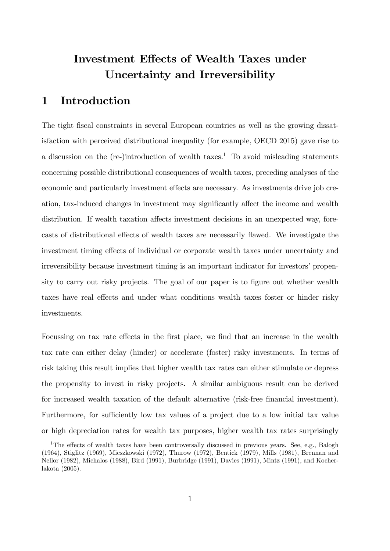## Investment Effects of Wealth Taxes under Uncertainty and Irreversibility

## 1 Introduction

The tight fiscal constraints in several European countries as well as the growing dissatisfaction with perceived distributional inequality (for example, OECD 2015) gave rise to a discussion on the  $(re-)introduction$  of wealth taxes.<sup>1</sup> To avoid misleading statements concerning possible distributional consequences of wealth taxes, preceding analyses of the economic and particularly investment effects are necessary. As investments drive job creation, tax-induced changes in investment may significantly affect the income and wealth distribution. If wealth taxation affects investment decisions in an unexpected way, forecasts of distributional effects of wealth taxes are necessarily flawed. We investigate the investment timing effects of individual or corporate wealth taxes under uncertainty and irreversibility because investment timing is an important indicator for investors' propensity to carry out risky projects. The goal of our paper is to figure out whether wealth taxes have real effects and under what conditions wealth taxes foster or hinder risky investments.

Focussing on tax rate effects in the first place, we find that an increase in the wealth tax rate can either delay (hinder) or accelerate (foster) risky investments. In terms of risk taking this result implies that higher wealth tax rates can either stimulate or depress the propensity to invest in risky projects. A similar ambiguous result can be derived for increased wealth taxation of the default alternative (risk-free Önancial investment). Furthermore, for sufficiently low tax values of a project due to a low initial tax value or high depreciation rates for wealth tax purposes, higher wealth tax rates surprisingly

<sup>&</sup>lt;sup>1</sup>The effects of wealth taxes have been controversally discussed in previous years. See, e.g., Balogh (1964), Stiglitz (1969), Mieszkowski (1972), Thurow (1972), Bentick (1979), Mills (1981), Brennan and Nellor (1982), Michalos (1988), Bird (1991), Burbridge (1991), Davies (1991), Mintz (1991), and Kocherlakota (2005).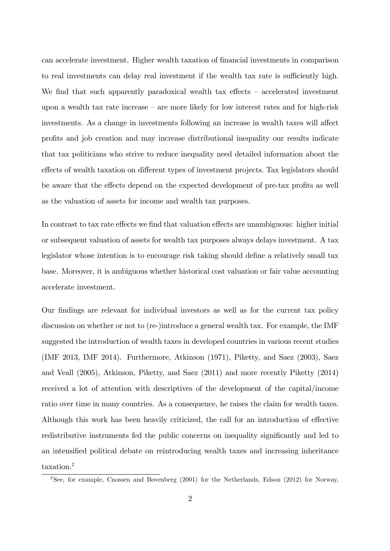can accelerate investment. Higher wealth taxation of financial investments in comparison to real investments can delay real investment if the wealth tax rate is sufficiently high. We find that such apparently paradoxical wealth tax effects  $-$  accelerated investment upon a wealth tax rate increase  $-$  are more likely for low interest rates and for high-risk investments. As a change in investments following an increase in wealth taxes will affect profits and job creation and may increase distributional inequality our results indicate that tax politicians who strive to reduce inequality need detailed information about the effects of wealth taxation on different types of investment projects. Tax legislators should be aware that the effects depend on the expected development of pre-tax profits as well as the valuation of assets for income and wealth tax purposes.

In contrast to tax rate effects we find that valuation effects are unambiguous: higher initial or subsequent valuation of assets for wealth tax purposes always delays investment. A tax legislator whose intention is to encourage risk taking should define a relatively small tax base. Moreover, it is ambiguous whether historical cost valuation or fair value accounting accelerate investment.

Our Öndings are relevant for individual investors as well as for the current tax policy discussion on whether or not to (re-)introduce a general wealth tax. For example, the IMF suggested the introduction of wealth taxes in developed countries in various recent studies (IMF 2013, IMF 2014). Furthermore, Atkinson (1971), Piketty, and Saez (2003), Saez and Veall (2005), Atkinson, Piketty, and Saez (2011) and more recently Piketty (2014) received a lot of attention with descriptives of the development of the capital/income ratio over time in many countries. As a consequence, he raises the claim for wealth taxes. Although this work has been heavily criticized, the call for an introduction of effective redistributive instruments fed the public concerns on inequality significantly and led to an intensified political debate on reintroducing wealth taxes and increasing inheritance taxation.<sup>2</sup>

<sup>2</sup>See, for example, Cnossen and Bovenberg (2001) for the Netherlands, Edson (2012) for Norway,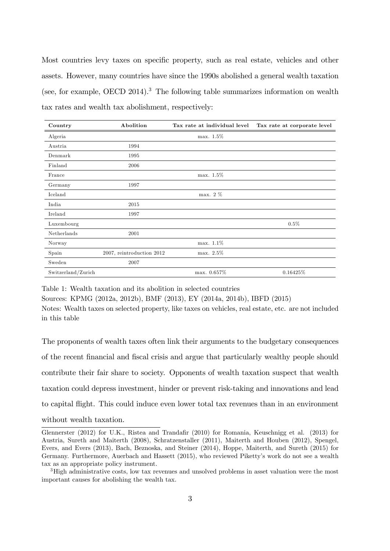Most countries levy taxes on specific property, such as real estate, vehicles and other assets. However, many countries have since the 1990s abolished a general wealth taxation (see, for example, OECD 2014).<sup>3</sup> The following table summarizes information on wealth tax rates and wealth tax abolishment, respectively:

| Country            | Abolition                 | Tax rate at individual level | Tax rate at corporate level |
|--------------------|---------------------------|------------------------------|-----------------------------|
| Algeria            |                           | $max. 1.5\%$                 |                             |
| Austria            | 1994                      |                              |                             |
| Denmark            | 1995                      |                              |                             |
| Finland            | 2006                      |                              |                             |
| France             |                           | $max. 1.5\%$                 |                             |
| Germany            | 1997                      |                              |                             |
| Iceland            |                           | $max. 2 \%$                  |                             |
| India              | 2015                      |                              |                             |
| Ireland            | 1997                      |                              |                             |
| Luxembourg         |                           |                              | 0.5%                        |
| Netherlands        | 2001                      |                              |                             |
| Norway             |                           | max. 1.1%                    |                             |
| Spain              | 2007, reintroduction 2012 | max. 2.5%                    |                             |
| Sweden             | 2007                      |                              |                             |
| Switzerland/Zurich |                           | max. 0.657%                  | 0.16425\%                   |

Table 1: Wealth taxation and its abolition in selected countries

Sources: KPMG (2012a, 2012b), BMF (2013), EY (2014a, 2014b), IBFD (2015)

Notes: Wealth taxes on selected property, like taxes on vehicles, real estate, etc. are not included in this table

The proponents of wealth taxes often link their arguments to the budgetary consequences of the recent Önancial and Öscal crisis and argue that particularly wealthy people should contribute their fair share to society. Opponents of wealth taxation suspect that wealth taxation could depress investment, hinder or prevent risk-taking and innovations and lead to capital áight. This could induce even lower total tax revenues than in an environment without wealth taxation.

Glennerster (2012) for U.K., Ristea and Trandafir (2010) for Romania, Keuschnigg et al. (2013) for Austria, Sureth and Maiterth (2008), Schratzenstaller (2011), Maiterth and Houben (2012), Spengel, Evers, and Evers (2013), Bach, Beznoska, and Steiner (2014), Hoppe, Maiterth, and Sureth (2015) for Germany. Furthermore, Auerbach and Hassett (2015), who reviewed Pikettyís work do not see a wealth tax as an appropriate policy instrument.

<sup>3</sup>High administrative costs, low tax revenues and unsolved problems in asset valuation were the most important causes for abolishing the wealth tax.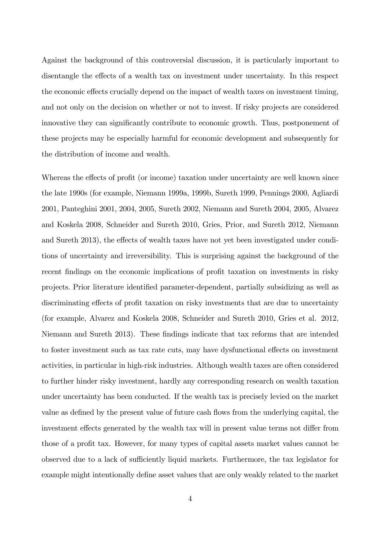Against the background of this controversial discussion, it is particularly important to disentangle the effects of a wealth tax on investment under uncertainty. In this respect the economic effects crucially depend on the impact of wealth taxes on investment timing, and not only on the decision on whether or not to invest. If risky projects are considered innovative they can significantly contribute to economic growth. Thus, postponement of these projects may be especially harmful for economic development and subsequently for the distribution of income and wealth.

Whereas the effects of profit (or income) taxation under uncertainty are well known since the late 1990s (for example, Niemann 1999a, 1999b, Sureth 1999, Pennings 2000, Agliardi 2001, Panteghini 2001, 2004, 2005, Sureth 2002, Niemann and Sureth 2004, 2005, Alvarez and Koskela 2008, Schneider and Sureth 2010, Gries, Prior, and Sureth 2012, Niemann and Sureth 2013), the effects of wealth taxes have not yet been investigated under conditions of uncertainty and irreversibility. This is surprising against the background of the recent findings on the economic implications of profit taxation on investments in risky projects. Prior literature identified parameter-dependent, partially subsidizing as well as discriminating effects of profit taxation on risky investments that are due to uncertainty (for example, Alvarez and Koskela 2008, Schneider and Sureth 2010, Gries et al. 2012, Niemann and Sureth 2013). These findings indicate that tax reforms that are intended to foster investment such as tax rate cuts, may have dysfunctional effects on investment activities, in particular in high-risk industries. Although wealth taxes are often considered to further hinder risky investment, hardly any corresponding research on wealth taxation under uncertainty has been conducted. If the wealth tax is precisely levied on the market value as defined by the present value of future cash flows from the underlying capital, the investment effects generated by the wealth tax will in present value terms not differ from those of a profit tax. However, for many types of capital assets market values cannot be observed due to a lack of sufficiently liquid markets. Furthermore, the tax legislator for example might intentionally define asset values that are only weakly related to the market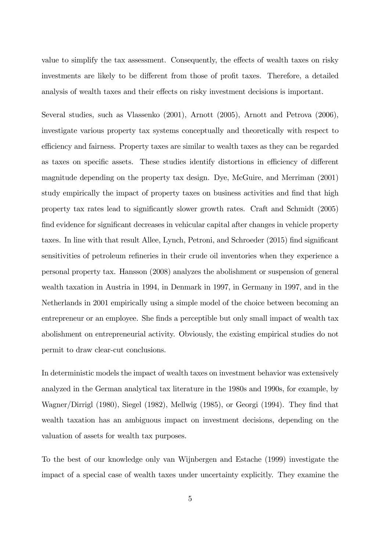value to simplify the tax assessment. Consequently, the effects of wealth taxes on risky investments are likely to be different from those of profit taxes. Therefore, a detailed analysis of wealth taxes and their effects on risky investment decisions is important.

Several studies, such as Vlassenko (2001), Arnott (2005), Arnott and Petrova (2006), investigate various property tax systems conceptually and theoretically with respect to efficiency and fairness. Property taxes are similar to wealth taxes as they can be regarded as taxes on specific assets. These studies identify distortions in efficiency of different magnitude depending on the property tax design. Dye, McGuire, and Merriman (2001) study empirically the impact of property taxes on business activities and find that high property tax rates lead to signiÖcantly slower growth rates. Craft and Schmidt (2005) find evidence for significant decreases in vehicular capital after changes in vehicle property taxes. In line with that result Allee, Lynch, Petroni, and Schroeder  $(2015)$  find significant sensitivities of petroleum refineries in their crude oil inventories when they experience a personal property tax. Hansson (2008) analyzes the abolishment or suspension of general wealth taxation in Austria in 1994, in Denmark in 1997, in Germany in 1997, and in the Netherlands in 2001 empirically using a simple model of the choice between becoming an entrepreneur or an employee. She finds a perceptible but only small impact of wealth tax abolishment on entrepreneurial activity. Obviously, the existing empirical studies do not permit to draw clear-cut conclusions.

In deterministic models the impact of wealth taxes on investment behavior was extensively analyzed in the German analytical tax literature in the 1980s and 1990s, for example, by Wagner/Dirrigl (1980), Siegel (1982), Mellwig (1985), or Georgi (1994). They find that wealth taxation has an ambiguous impact on investment decisions, depending on the valuation of assets for wealth tax purposes.

To the best of our knowledge only van Wijnbergen and Estache (1999) investigate the impact of a special case of wealth taxes under uncertainty explicitly. They examine the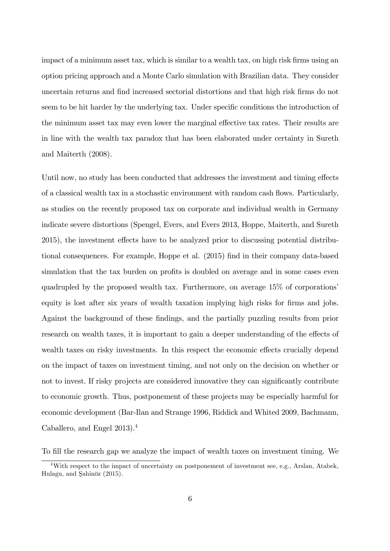impact of a minimum asset tax, which is similar to a wealth tax, on high risk firms using an option pricing approach and a Monte Carlo simulation with Brazilian data. They consider uncertain returns and find increased sectorial distortions and that high risk firms do not seem to be hit harder by the underlying tax. Under specific conditions the introduction of the minimum asset tax may even lower the marginal effective tax rates. Their results are in line with the wealth tax paradox that has been elaborated under certainty in Sureth and Maiterth (2008).

Until now, no study has been conducted that addresses the investment and timing effects of a classical wealth tax in a stochastic environment with random cash áows. Particularly, as studies on the recently proposed tax on corporate and individual wealth in Germany indicate severe distortions (Spengel, Evers, and Evers 2013, Hoppe, Maiterth, and Sureth 2015), the investment effects have to be analyzed prior to discussing potential distributional consequences. For example, Hoppe et al. (2015) find in their company data-based simulation that the tax burden on profits is doubled on average and in some cases even quadrupled by the proposed wealth tax. Furthermore, on average 15% of corporations' equity is lost after six years of wealth taxation implying high risks for firms and jobs. Against the background of these findings, and the partially puzzling results from prior research on wealth taxes, it is important to gain a deeper understanding of the effects of wealth taxes on risky investments. In this respect the economic effects crucially depend on the impact of taxes on investment timing, and not only on the decision on whether or not to invest. If risky projects are considered innovative they can significantly contribute to economic growth. Thus, postponement of these projects may be especially harmful for economic development (Bar-Ilan and Strange 1996, Riddick and Whited 2009, Bachmann, Caballero, and Engel 2013).<sup>4</sup>

To fill the research gap we analyze the impact of wealth taxes on investment timing. We

<sup>4</sup>With respect to the impact of uncertainty on postponement of investment see, e.g., Arslan, Atabek, Hulagu, and Sahinöz (2015).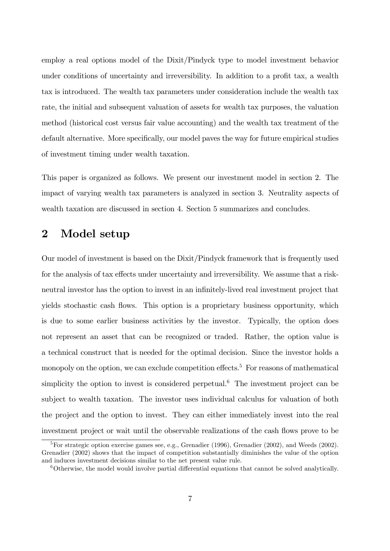employ a real options model of the Dixit/Pindyck type to model investment behavior under conditions of uncertainty and irreversibility. In addition to a profit tax, a wealth tax is introduced. The wealth tax parameters under consideration include the wealth tax rate, the initial and subsequent valuation of assets for wealth tax purposes, the valuation method (historical cost versus fair value accounting) and the wealth tax treatment of the default alternative. More specifically, our model paves the way for future empirical studies of investment timing under wealth taxation.

This paper is organized as follows. We present our investment model in section 2. The impact of varying wealth tax parameters is analyzed in section 3. Neutrality aspects of wealth taxation are discussed in section 4. Section 5 summarizes and concludes.

### 2 Model setup

Our model of investment is based on the Dixit/Pindyck framework that is frequently used for the analysis of tax effects under uncertainty and irreversibility. We assume that a riskneutral investor has the option to invest in an infinitely-lived real investment project that yields stochastic cash flows. This option is a proprietary business opportunity, which is due to some earlier business activities by the investor. Typically, the option does not represent an asset that can be recognized or traded. Rather, the option value is a technical construct that is needed for the optimal decision. Since the investor holds a monopoly on the option, we can exclude competition effects.<sup>5</sup> For reasons of mathematical simplicity the option to invest is considered perpetual.<sup>6</sup> The investment project can be subject to wealth taxation. The investor uses individual calculus for valuation of both the project and the option to invest. They can either immediately invest into the real investment project or wait until the observable realizations of the cash flows prove to be

<sup>&</sup>lt;sup>5</sup>For strategic option exercise games see, e.g., Grenadier (1996), Grenadier (2002), and Weeds (2002). Grenadier (2002) shows that the impact of competition substantially diminishes the value of the option and induces investment decisions similar to the net present value rule.

 $6$ Otherwise, the model would involve partial differential equations that cannot be solved analytically.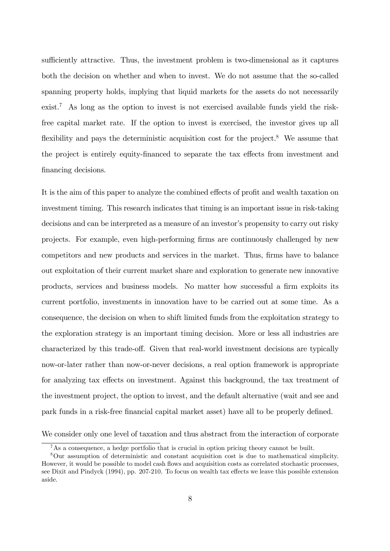sufficiently attractive. Thus, the investment problem is two-dimensional as it captures both the decision on whether and when to invest. We do not assume that the so-called spanning property holds, implying that liquid markets for the assets do not necessarily exist.<sup>7</sup> As long as the option to invest is not exercised available funds yield the riskfree capital market rate. If the option to invest is exercised, the investor gives up all flexibility and pays the deterministic acquisition cost for the project.<sup>8</sup> We assume that the project is entirely equity-financed to separate the tax effects from investment and financing decisions.

It is the aim of this paper to analyze the combined effects of profit and wealth taxation on investment timing. This research indicates that timing is an important issue in risk-taking decisions and can be interpreted as a measure of an investor's propensity to carry out risky projects. For example, even high-performing Örms are continuously challenged by new competitors and new products and services in the market. Thus, firms have to balance out exploitation of their current market share and exploration to generate new innovative products, services and business models. No matter how successful a firm exploits its current portfolio, investments in innovation have to be carried out at some time. As a consequence, the decision on when to shift limited funds from the exploitation strategy to the exploration strategy is an important timing decision. More or less all industries are characterized by this trade-off. Given that real-world investment decisions are typically now-or-later rather than now-or-never decisions, a real option framework is appropriate for analyzing tax effects on investment. Against this background, the tax treatment of the investment project, the option to invest, and the default alternative (wait and see and park funds in a risk-free financial capital market asset) have all to be properly defined.

We consider only one level of taxation and thus abstract from the interaction of corporate

<sup>&</sup>lt;sup>7</sup>As a consequence, a hedge portfolio that is crucial in option pricing theory cannot be built.

<sup>8</sup>Our assumption of deterministic and constant acquisition cost is due to mathematical simplicity. However, it would be possible to model cash flows and acquisition costs as correlated stochastic processes, see Dixit and Pindyck (1994), pp. 207-210. To focus on wealth tax effects we leave this possible extension aside.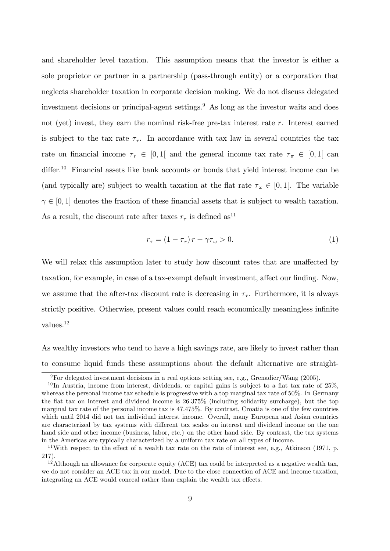and shareholder level taxation. This assumption means that the investor is either a sole proprietor or partner in a partnership (pass-through entity) or a corporation that neglects shareholder taxation in corporate decision making. We do not discuss delegated investment decisions or principal-agent settings.<sup>9</sup> As long as the investor waits and does not (yet) invest, they earn the nominal risk-free pre-tax interest rate  $r$ . Interest earned is subject to the tax rate  $\tau_r$ . In accordance with tax law in several countries the tax rate on financial income  $\tau_r \in [0, 1]$  and the general income tax rate  $\tau_{\pi} \in [0, 1]$  can differ.<sup>10</sup> Financial assets like bank accounts or bonds that yield interest income can be (and typically are) subject to wealth taxation at the flat rate  $\tau_{\omega} \in [0,1]$ . The variable  $\gamma \in [0, 1]$  denotes the fraction of these financial assets that is subject to wealth taxation. As a result, the discount rate after taxes  $r<sub>\tau</sub>$  is defined as<sup>11</sup>

$$
r_{\tau} = (1 - \tau_r) r - \gamma \tau_{\omega} > 0. \tag{1}
$$

We will relax this assumption later to study how discount rates that are unaffected by taxation, for example, in case of a tax-exempt default investment, affect our finding. Now, we assume that the after-tax discount rate is decreasing in  $\tau_r$ . Furthermore, it is always strictly positive. Otherwise, present values could reach economically meaningless infinite values.<sup>12</sup>

As wealthy investors who tend to have a high savings rate, are likely to invest rather than to consume liquid funds these assumptions about the default alternative are straight-

<sup>&</sup>lt;sup>9</sup>For delegated investment decisions in a real options setting see, e.g., Grenadier/Wang (2005).

 $10$ In Austria, income from interest, dividends, or capital gains is subject to a flat tax rate of  $25\%$ , whereas the personal income tax schedule is progressive with a top marginal tax rate of 50%. In Germany the áat tax on interest and dividend income is 26.375% (including solidarity surcharge), but the top marginal tax rate of the personal income tax is 47.475%. By contrast, Croatia is one of the few countries which until 2014 did not tax individual interest income. Overall, many European and Asian countries are characterized by tax systems with different tax scales on interest and dividend income on the one hand side and other income (business, labor, etc.) on the other hand side. By contrast, the tax systems in the Americas are typically characterized by a uniform tax rate on all types of income.

<sup>&</sup>lt;sup>11</sup>With respect to the effect of a wealth tax rate on the rate of interest see, e.g., Atkinson (1971, p. 217).

 $12$ <sup>12</sup> Although an allowance for corporate equity (ACE) tax could be interpreted as a negative wealth tax, we do not consider an ACE tax in our model. Due to the close connection of ACE and income taxation, integrating an ACE would conceal rather than explain the wealth tax effects.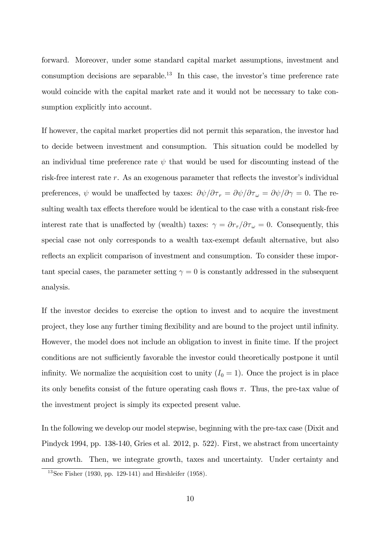forward. Moreover, under some standard capital market assumptions, investment and consumption decisions are separable.<sup>13</sup> In this case, the investor's time preference rate would coincide with the capital market rate and it would not be necessary to take consumption explicitly into account.

If however, the capital market properties did not permit this separation, the investor had to decide between investment and consumption. This situation could be modelled by an individual time preference rate  $\psi$  that would be used for discounting instead of the risk-free interest rate  $r$ . As an exogenous parameter that reflects the investor's individual preferences,  $\psi$  would be unaffected by taxes:  $\partial \psi / \partial \tau_r = \partial \psi / \partial \tau_\omega = \partial \psi / \partial \gamma = 0$ . The resulting wealth tax effects therefore would be identical to the case with a constant risk-free interest rate that is unaffected by (wealth) taxes:  $\gamma = \partial r_{\tau}/\partial \tau_{\omega} = 0$ . Consequently, this special case not only corresponds to a wealth tax-exempt default alternative, but also reflects an explicit comparison of investment and consumption. To consider these important special cases, the parameter setting  $\gamma = 0$  is constantly addressed in the subsequent analysis.

If the investor decides to exercise the option to invest and to acquire the investment project, they lose any further timing flexibility and are bound to the project until infinity. However, the model does not include an obligation to invest in finite time. If the project conditions are not sufficiently favorable the investor could theoretically postpone it until infinity. We normalize the acquisition cost to unity  $(I_0 = 1)$ . Once the project is in place its only benefits consist of the future operating cash flows  $\pi$ . Thus, the pre-tax value of the investment project is simply its expected present value.

In the following we develop our model stepwise, beginning with the pre-tax case (Dixit and Pindyck 1994, pp. 138-140, Gries et al. 2012, p. 522). First, we abstract from uncertainty and growth. Then, we integrate growth, taxes and uncertainty. Under certainty and

 $13$ See Fisher (1930, pp. 129-141) and Hirshleifer (1958).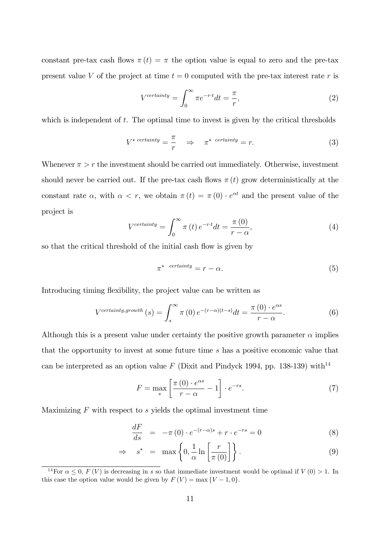constant pre-tax cash flows  $\pi(t) = \pi$  the option value is equal to zero and the pre-tax present value V of the project at time  $t = 0$  computed with the pre-tax interest rate r is

$$
V^{certainty} = \int_0^\infty \pi e^{-r \cdot t} dt = \frac{\pi}{r},\tag{2}
$$

which is independent of  $t$ . The optimal time to invest is given by the critical thresholds

$$
V^* \stackrel{certainty}{=} \frac{\pi}{r} \quad \Rightarrow \quad \pi^* \stackrel{certainty}{=} r. \tag{3}
$$

Whenever  $\pi > r$  the investment should be carried out immediately. Otherwise, investment should never be carried out. If the pre-tax cash flows  $\pi(t)$  grow deterministically at the constant rate  $\alpha$ , with  $\alpha < r$ , we obtain  $\pi(t) = \pi(0) \cdot e^{\alpha t}$  and the present value of the project is

$$
V^{certainty} = \int_0^\infty \pi(t) e^{-r \cdot t} dt = \frac{\pi(0)}{r - \alpha},
$$
\n(4)

so that the critical threshold of the initial cash flow is given by

$$
\pi^* \quad \text{certainty} = r - \alpha. \tag{5}
$$

Introducing timing flexibility, the project value can be written as

$$
V^{certainty, growth}(s) = \int_{s}^{\infty} \pi(0) e^{-(r-\alpha)(t-s)} dt = \frac{\pi(0) \cdot e^{\alpha s}}{r-\alpha}.
$$
 (6)

Although this is a present value under certainty the positive growth parameter  $\alpha$  implies that the opportunity to invest at some future time s has a positive economic value that can be interpreted as an option value F (Dixit and Pindyck 1994, pp. 138-139) with<sup>14</sup>

$$
F = \max_{s} \left[ \frac{\pi (0) \cdot e^{\alpha s}}{r - \alpha} - 1 \right] \cdot e^{-rs}.
$$
 (7)

Maximizing  $F$  with respect to  $s$  yields the optimal investment time

$$
\frac{dF}{ds} = -\pi (0) \cdot e^{-(r-\alpha)s} + r \cdot e^{-rs} = 0 \tag{8}
$$

$$
\Rightarrow s^* = \max\left\{0, \frac{1}{\alpha} \ln \left[\frac{r}{\pi(0)}\right]\right\}.
$$
 (9)

<sup>&</sup>lt;sup>14</sup>For  $\alpha \leq 0$ ,  $F(V)$  is decreasing in s so that immediate investment would be optimal if  $V(0) > 1$ . In this case the option value would be given by  $F(V) = \max\{V - 1, 0\}.$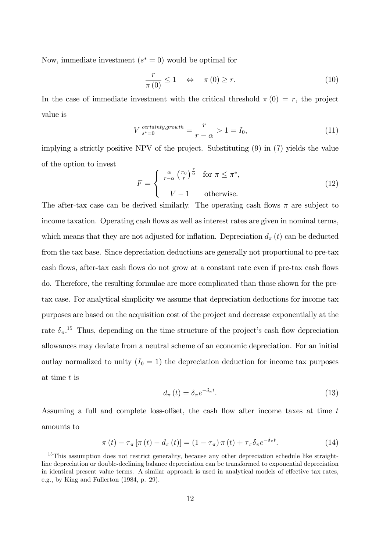Now, immediate investment  $(s^* = 0)$  would be optimal for

$$
\frac{r}{\pi(0)} \le 1 \quad \Leftrightarrow \quad \pi(0) \ge r. \tag{10}
$$

In the case of immediate investment with the critical threshold  $\pi(0) = r$ , the project value is

$$
V|_{s^*=0}^{certainty, growth} = \frac{r}{r-\alpha} > 1 = I_0,
$$
\n(11)

implying a strictly positive NPV of the project. Substituting (9) in (7) yields the value of the option to invest

$$
F = \begin{cases} \frac{\alpha}{r - \alpha} \left(\frac{\pi_0}{r}\right)^{\frac{r}{\alpha}} & \text{for } \pi \le \pi^*, \\ V - 1 & \text{otherwise.} \end{cases}
$$
 (12)

The after-tax case can be derived similarly. The operating cash flows  $\pi$  are subject to income taxation. Operating cash flows as well as interest rates are given in nominal terms, which means that they are not adjusted for inflation. Depreciation  $d_{\pi}(t)$  can be deducted from the tax base. Since depreciation deductions are generally not proportional to pre-tax cash flows, after-tax cash flows do not grow at a constant rate even if pre-tax cash flows do. Therefore, the resulting formulae are more complicated than those shown for the pretax case. For analytical simplicity we assume that depreciation deductions for income tax purposes are based on the acquisition cost of the project and decrease exponentially at the rate  $\delta_{\pi}$ .<sup>15</sup> Thus, depending on the time structure of the project's cash flow depreciation allowances may deviate from a neutral scheme of an economic depreciation. For an initial outlay normalized to unity  $(I_0 = 1)$  the depreciation deduction for income tax purposes at time t is

$$
d_{\pi}(t) = \delta_{\pi} e^{-\delta_{\pi}t}.
$$
\n(13)

Assuming a full and complete loss-offset, the cash flow after income taxes at time  $t$ amounts to

$$
\pi(t) - \tau_{\pi} \left[ \pi(t) - d_{\pi}(t) \right] = (1 - \tau_{\pi}) \pi(t) + \tau_{\pi} \delta_{\pi} e^{-\delta_{\pi} t}.
$$
 (14)

<sup>&</sup>lt;sup>15</sup>This assumption does not restrict generality, because any other depreciation schedule like straightline depreciation or double-declining balance depreciation can be transformed to exponential depreciation in identical present value terms. A similar approach is used in analytical models of effective tax rates, e.g., by King and Fullerton (1984, p. 29).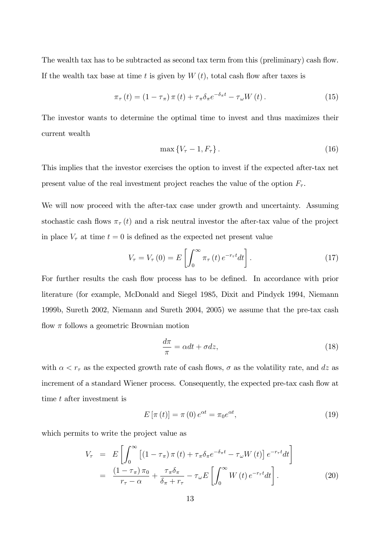The wealth tax has to be subtracted as second tax term from this (preliminary) cash flow. If the wealth tax base at time t is given by  $W(t)$ , total cash flow after taxes is

$$
\pi_{\tau}(t) = (1 - \tau_{\pi}) \pi(t) + \tau_{\pi} \delta_{\pi} e^{-\delta_{\pi} t} - \tau_{\omega} W(t).
$$
 (15)

The investor wants to determine the optimal time to invest and thus maximizes their current wealth

$$
\max\left\{V_{\tau}-1, F_{\tau}\right\}.\tag{16}
$$

This implies that the investor exercises the option to invest if the expected after-tax net present value of the real investment project reaches the value of the option  $F_{\tau}$ .

We will now proceed with the after-tax case under growth and uncertainty. Assuming stochastic cash flows  $\pi_{\tau}(t)$  and a risk neutral investor the after-tax value of the project in place  $V_{\tau}$  at time  $t = 0$  is defined as the expected net present value

$$
V_{\tau} = V_{\tau}(0) = E\left[\int_0^{\infty} \pi_{\tau}(t) e^{-r_{\tau}t} dt\right].
$$
 (17)

For further results the cash flow process has to be defined. In accordance with prior literature (for example, McDonald and Siegel 1985, Dixit and Pindyck 1994, Niemann 1999b, Sureth 2002, Niemann and Sureth 2004, 2005) we assume that the pre-tax cash flow  $\pi$  follows a geometric Brownian motion

$$
\frac{d\pi}{\pi} = \alpha dt + \sigma dz,\tag{18}
$$

with  $\alpha < r_{\tau}$  as the expected growth rate of cash flows,  $\sigma$  as the volatility rate, and dz as increment of a standard Wiener process. Consequently, the expected pre-tax cash flow at time t after investment is

$$
E\left[\pi\left(t\right)\right] = \pi\left(0\right)e^{\alpha t} = \pi_0 e^{\alpha t},\tag{19}
$$

which permits to write the project value as

$$
V_{\tau} = E \left[ \int_0^{\infty} \left[ (1 - \tau_{\pi}) \pi(t) + \tau_{\pi} \delta_{\pi} e^{-\delta_{\pi} t} - \tau_{\omega} W(t) \right] e^{-r_{\tau} t} dt \right]
$$
  

$$
= \frac{(1 - \tau_{\pi}) \pi_0}{r_{\tau} - \alpha} + \frac{\tau_{\pi} \delta_{\pi}}{\delta_{\pi} + r_{\tau}} - \tau_{\omega} E \left[ \int_0^{\infty} W(t) e^{-r_{\tau} t} dt \right]. \tag{20}
$$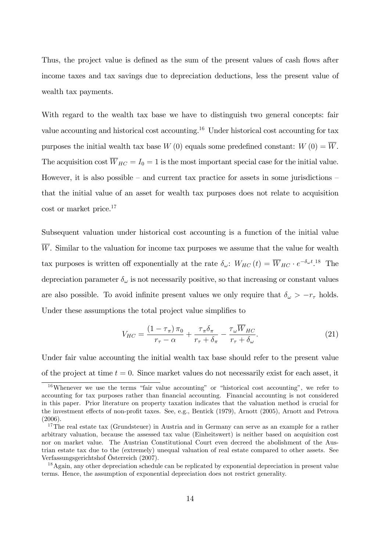Thus, the project value is defined as the sum of the present values of cash flows after income taxes and tax savings due to depreciation deductions, less the present value of wealth tax payments.

With regard to the wealth tax base we have to distinguish two general concepts: fair value accounting and historical cost accounting.<sup>16</sup> Under historical cost accounting for tax purposes the initial wealth tax base  $W(0)$  equals some predefined constant:  $W(0) = \overline{W}$ . The acquisition cost  $\overline{W}_{HC} = I_0 = 1$  is the most important special case for the initial value. However, it is also possible  $-$  and current tax practice for assets in some jurisdictions  $$ that the initial value of an asset for wealth tax purposes does not relate to acquisition cost or market price.<sup>17</sup>

Subsequent valuation under historical cost accounting is a function of the initial value  $\overline{W}$ . Similar to the valuation for income tax purposes we assume that the value for wealth tax purposes is written off exponentially at the rate  $\delta_{\omega}$ :  $W_{HC}(t) = \overline{W}_{HC} \cdot e^{-\delta_{\omega}t}$ <sup>18</sup> The depreciation parameter  $\delta_{\omega}$  is not necessarily positive, so that increasing or constant values are also possible. To avoid infinite present values we only require that  $\delta_{\omega} > -r_{\tau}$  holds. Under these assumptions the total project value simplifies to

$$
V_{HC} = \frac{\left(1 - \tau_{\pi}\right)\pi_0}{r_{\tau} - \alpha} + \frac{\tau_{\pi}\delta_{\pi}}{r_{\tau} + \delta_{\pi}} - \frac{\tau_{\omega}\overline{W}_{HC}}{r_{\tau} + \delta_{\omega}}.\tag{21}
$$

Under fair value accounting the initial wealth tax base should refer to the present value of the project at time  $t = 0$ . Since market values do not necessarily exist for each asset, it

<sup>&</sup>lt;sup>16</sup>Whenever we use the terms "fair value accounting" or "historical cost accounting", we refer to accounting for tax purposes rather than financial accounting. Financial accounting is not considered in this paper. Prior literature on property taxation indicates that the valuation method is crucial for the investment effects of non-profit taxes. See, e.g., Bentick (1979), Arnott (2005), Arnott and Petrova (2006).

<sup>&</sup>lt;sup>17</sup>The real estate tax (Grundsteuer) in Austria and in Germany can serve as an example for a rather arbitrary valuation, because the assessed tax value (Einheitswert) is neither based on acquisition cost nor on market value. The Austrian Constitutional Court even decreed the abolishment of the Austrian estate tax due to the (extremely) unequal valuation of real estate compared to other assets. See Verfassungsgerichtshof Österreich (2007).

<sup>&</sup>lt;sup>18</sup>Again, any other depreciation schedule can be replicated by exponential depreciation in present value terms. Hence, the assumption of exponential depreciation does not restrict generality.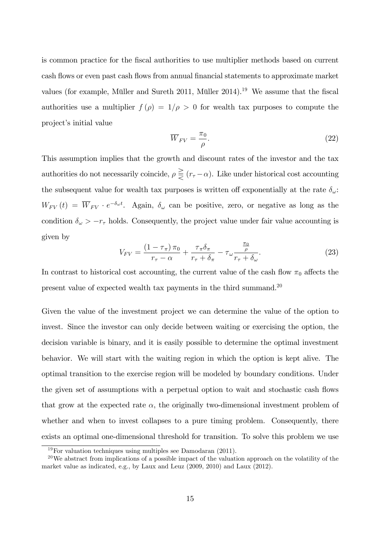is common practice for the Öscal authorities to use multiplier methods based on current cash flows or even past cash flows from annual financial statements to approximate market values (for example, Müller and Sureth 2011, Müller  $2014$ ).<sup>19</sup> We assume that the fiscal authorities use a multiplier  $f(\rho) = 1/\rho > 0$  for wealth tax purposes to compute the project's initial value

$$
\overline{W}_{FV} = \frac{\pi_0}{\rho}.
$$
\n(22)

This assumption implies that the growth and discount rates of the investor and the tax authorities do not necessarily coincide,  $\rho \geq (r_\tau - \alpha)$ . Like under historical cost accounting the subsequent value for wealth tax purposes is written of exponentially at the rate  $\delta_{\omega}$ :  $W_{FV}(t) = \overline{W}_{FV} \cdot e^{-\delta_{\omega}t}$ . Again,  $\delta_{\omega}$  can be positive, zero, or negative as long as the condition  $\delta_{\omega} > -r_{\tau}$  holds. Consequently, the project value under fair value accounting is given by

$$
V_{FV} = \frac{\left(1 - \tau_{\pi}\right)\pi_0}{r_{\tau} - \alpha} + \frac{\tau_{\pi}\delta_{\pi}}{r_{\tau} + \delta_{\pi}} - \tau_{\omega}\frac{\frac{\pi_0}{\rho}}{r_{\tau} + \delta_{\omega}}.\tag{23}
$$

In contrast to historical cost accounting, the current value of the cash flow  $\pi_0$  affects the present value of expected wealth tax payments in the third summand.<sup>20</sup>

Given the value of the investment project we can determine the value of the option to invest. Since the investor can only decide between waiting or exercising the option, the decision variable is binary, and it is easily possible to determine the optimal investment behavior. We will start with the waiting region in which the option is kept alive. The optimal transition to the exercise region will be modeled by boundary conditions. Under the given set of assumptions with a perpetual option to wait and stochastic cash flows that grow at the expected rate  $\alpha$ , the originally two-dimensional investment problem of whether and when to invest collapses to a pure timing problem. Consequently, there exists an optimal one-dimensional threshold for transition. To solve this problem we use

 $19\,\text{For valuation techniques using multiples see Damodaran (2011).}$ 

<sup>&</sup>lt;sup>20</sup>We abstract from implications of a possible impact of the valuation approach on the volatility of the market value as indicated, e.g., by Laux and Leuz (2009, 2010) and Laux (2012).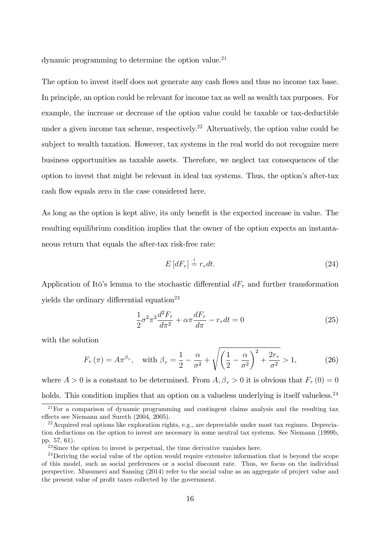dynamic programming to determine the option value. $^{21}$ 

The option to invest itself does not generate any cash flows and thus no income tax base. In principle, an option could be relevant for income tax as well as wealth tax purposes. For example, the increase or decrease of the option value could be taxable or tax-deductible under a given income tax scheme, respectively.<sup>22</sup> Alternatively, the option value could be subject to wealth taxation. However, tax systems in the real world do not recognize mere business opportunities as taxable assets. Therefore, we neglect tax consequences of the option to invest that might be relevant in ideal tax systems. Thus, the option's after-tax cash flow equals zero in the case considered here.

As long as the option is kept alive, its only benefit is the expected increase in value. The resulting equilibrium condition implies that the owner of the option expects an instantaneous return that equals the after-tax risk-free rate:

$$
E\left[dF_{\tau}\right] \stackrel{!}{=} r_{\tau}dt. \tag{24}
$$

Application of Itô's lemma to the stochastic differential  $dF_{\tau}$  and further transformation yields the ordinary differential equation<sup>23</sup>

$$
\frac{1}{2}\sigma^2 \pi^2 \frac{d^2 F_\tau}{d\pi^2} + \alpha \pi \frac{dF_\tau}{d\pi} - r_\tau dt = 0
$$
\n(25)

with the solution

$$
F_{\tau}\left(\pi\right) = A\pi^{\beta_{\tau}}, \quad \text{with } \beta_{\tau} = \frac{1}{2} - \frac{\alpha}{\sigma^2} + \sqrt{\left(\frac{1}{2} - \frac{\alpha}{\sigma^2}\right)^2 + \frac{2r_{\tau}}{\sigma^2}} > 1,\tag{26}
$$

where  $A > 0$  is a constant to be determined. From  $A, \beta_{\tau} > 0$  it is obvious that  $F_{\tau}(0) = 0$ 

holds. This condition implies that an option on a valueless underlying is itself valueless.<sup>24</sup>

 $\frac{21}{21}$  For a comparison of dynamic programming and contingent claims analysis and the resulting tax effects see Niemann and Sureth (2004, 2005).

<sup>&</sup>lt;sup>22</sup> Acquired real options like exploration rights, e.g., are depreciable under most tax regimes. Depreciation deductions on the option to invest are necessary in some neutral tax systems. See Niemann (1999b, pp. 57, 61).

<sup>&</sup>lt;sup>23</sup>Since the option to invest is perpetual, the time derivative vanishes here.

<sup>&</sup>lt;sup>24</sup>Deriving the social value of the option would require extensive information that is beyond the scope of this model, such as social preferences or a social discount rate. Thus, we focus on the individual perspective. Musumeci and Sansing (2014) refer to the social value as an aggregate of project value and the present value of profit taxes collected by the government.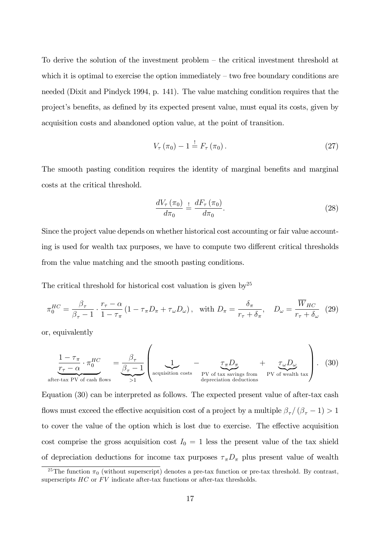To derive the solution of the investment problem  $-$  the critical investment threshold at which it is optimal to exercise the option immediately  $-$  two free boundary conditions are needed (Dixit and Pindyck 1994, p. 141). The value matching condition requires that the project's benefits, as defined by its expected present value, must equal its costs, given by acquisition costs and abandoned option value, at the point of transition.

$$
V_{\tau}\left(\pi_{0}\right)-1\overset{!}{=}F_{\tau}\left(\pi_{0}\right). \tag{27}
$$

The smooth pasting condition requires the identity of marginal benefits and marginal costs at the critical threshold.

$$
\frac{dV_{\tau}\left(\pi_{0}\right)}{d\pi_{0}} \stackrel{!}{=} \frac{dF_{\tau}\left(\pi_{0}\right)}{d\pi_{0}}.\tag{28}
$$

Since the project value depends on whether historical cost accounting or fair value accounting is used for wealth tax purposes, we have to compute two different critical thresholds from the value matching and the smooth pasting conditions.

The critical threshold for historical cost valuation is given by<sup>25</sup>

$$
\pi_0^{HC} = \frac{\beta_\tau}{\beta_\tau - 1} \cdot \frac{r_\tau - \alpha}{1 - \tau_\pi} \left( 1 - \tau_\pi D_\pi + \tau_\omega D_\omega \right), \quad \text{with } D_\pi = \frac{\delta_\pi}{r_\tau + \delta_\pi}, \quad D_\omega = \frac{\overline{W}_{HC}}{r_\tau + \delta_\omega} \tag{29}
$$

or, equivalently

$$
\frac{1-\tau_{\pi}}{\tau_{\tau}-\alpha} \cdot \pi_0^{HC} = \underbrace{\frac{\beta_{\tau}}{\beta_{\tau}-1}}_{\text{after-tax PV of cash flows}} \left(\underbrace{1}_{\text{& all position costs}} - \underbrace{\tau_{\pi}D_{\pi}}_{\text{PV of tax savings from}} + \underbrace{\tau_{\omega}D_{\omega}}_{\text{PV of wealth data}}\right). (30)
$$

Equation (30) can be interpreted as follows. The expected present value of after-tax cash flows must exceed the effective acquisition cost of a project by a multiple  $\beta_{\tau}/(\beta_{\tau}-1) > 1$ to cover the value of the option which is lost due to exercise. The effective acquisition cost comprise the gross acquisition cost  $I_0 = 1$  less the present value of the tax shield of depreciation deductions for income tax purposes  $\tau_{\pi}D_{\pi}$  plus present value of wealth

<sup>&</sup>lt;sup>25</sup>The function  $\pi_0$  (without superscript) denotes a pre-tax function or pre-tax threshold. By contrast, superscripts  $HC$  or  $FV$  indicate after-tax functions or after-tax thresholds.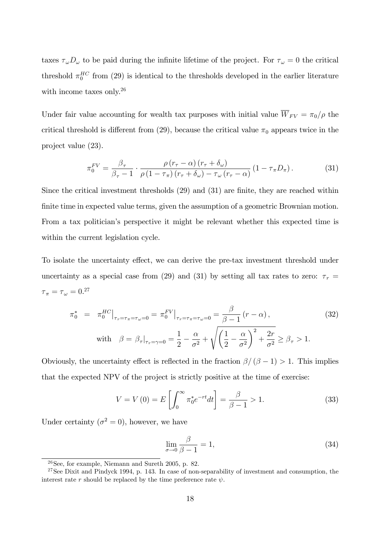taxes  $\tau_{\omega}D_{\omega}$  to be paid during the infinite lifetime of the project. For  $\tau_{\omega}=0$  the critical threshold  $\pi_0^{HC}$  from (29) is identical to the thresholds developed in the earlier literature with income taxes only.<sup>26</sup>

Under fair value accounting for wealth tax purposes with initial value  $\overline{W}_{FV} = \pi_0/\rho$  the critical threshold is different from (29), because the critical value  $\pi_0$  appears twice in the project value (23).

$$
\pi_0^{FV} = \frac{\beta_\tau}{\beta_\tau - 1} \cdot \frac{\rho \left( r_\tau - \alpha \right) \left( r_\tau + \delta_\omega \right)}{\rho \left( 1 - \tau_\pi \right) \left( r_\tau + \delta_\omega \right) - \tau_\omega \left( r_\tau - \alpha \right)} \left( 1 - \tau_\pi D_\pi \right). \tag{31}
$$

Since the critical investment thresholds  $(29)$  and  $(31)$  are finite, they are reached within finite time in expected value terms, given the assumption of a geometric Brownian motion. From a tax politicianís perspective it might be relevant whether this expected time is within the current legislation cycle.

To isolate the uncertainty effect, we can derive the pre-tax investment threshold under uncertainty as a special case from (29) and (31) by setting all tax rates to zero:  $\tau_r$  =  ${\tau}_{\pi} = {\tau}_{\omega} = 0.27$ 

$$
\pi_0^* = \pi_0^{HC}|_{\tau_r = \tau_{\pi} = \tau_{\omega} = 0} = \pi_0^{FV}|_{\tau_r = \tau_{\pi} = \tau_{\omega} = 0} = \frac{\beta}{\beta - 1} (r - \alpha),
$$
\n
$$
\text{with} \quad \beta = \beta_{\tau}|_{\tau_r = \gamma = 0} = \frac{1}{2} - \frac{\alpha}{\sigma^2} + \sqrt{\left(\frac{1}{2} - \frac{\alpha}{\sigma^2}\right)^2 + \frac{2r}{\sigma^2}} \ge \beta_{\tau} > 1.
$$
\n(32)

Obviously, the uncertainty effect is reflected in the fraction  $\beta/(\beta - 1) > 1$ . This implies that the expected NPV of the project is strictly positive at the time of exercise:

$$
V = V(0) = E\left[\int_0^\infty \pi_0^* e^{-rt} dt\right] = \frac{\beta}{\beta - 1} > 1.
$$
 (33)

Under certainty  $(\sigma^2 = 0)$ , however, we have

$$
\lim_{\sigma \to 0} \frac{\beta}{\beta - 1} = 1,\tag{34}
$$

 $26$ See, for example, Niemann and Sureth 2005, p. 82.

 $27$ See Dixit and Pindyck 1994, p. 143. In case of non-separability of investment and consumption, the interest rate r should be replaced by the time preference rate  $\psi$ .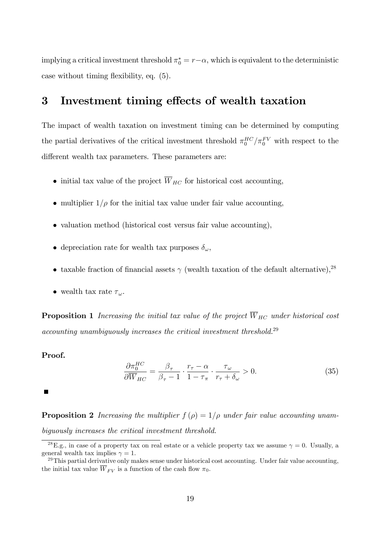implying a critical investment threshold  $\pi_0^* = r - \alpha$ , which is equivalent to the deterministic case without timing flexibility, eq.  $(5)$ .

### 3 Investment timing effects of wealth taxation

The impact of wealth taxation on investment timing can be determined by computing the partial derivatives of the critical investment threshold  $\pi_0^{HC}/\pi_0^{FV}$  with respect to the different wealth tax parameters. These parameters are:

- initial tax value of the project  $\overline{W}_{HC}$  for historical cost accounting,
- multiplier  $1/\rho$  for the initial tax value under fair value accounting,
- valuation method (historical cost versus fair value accounting),
- depreciation rate for wealth tax purposes  $\delta_{\omega}$ ,
- taxable fraction of financial assets  $\gamma$  (wealth taxation of the default alternative), <sup>28</sup>
- wealth tax rate  $\tau_{\omega}$ .

**Proposition 1** Increasing the initial tax value of the project  $\overline{W}_{HC}$  under historical cost accounting unambiguously increases the critical investment threshold.<sup>29</sup>

#### Proof.

$$
\frac{\partial \pi_0^{HC}}{\partial \overline{W}_{HC}} = \frac{\beta_\tau}{\beta_\tau - 1} \cdot \frac{r_\tau - \alpha}{1 - \tau_\pi} \cdot \frac{\tau_\omega}{r_\tau + \delta_\omega} > 0. \tag{35}
$$

 $\blacksquare$ 

**Proposition 2** Increasing the multiplier  $f(\rho) = 1/\rho$  under fair value accounting unambiguously increases the critical investment threshold.

<sup>&</sup>lt;sup>28</sup>E.g., in case of a property tax on real estate or a vehicle property tax we assume  $\gamma = 0$ . Usually, a general wealth tax implies  $\gamma = 1$ .

 $^{29}$ This partial derivative only makes sense under historical cost accounting. Under fair value accounting, the initial tax value  $\overline{W}_{FV}$  is a function of the cash flow  $\pi_0$ .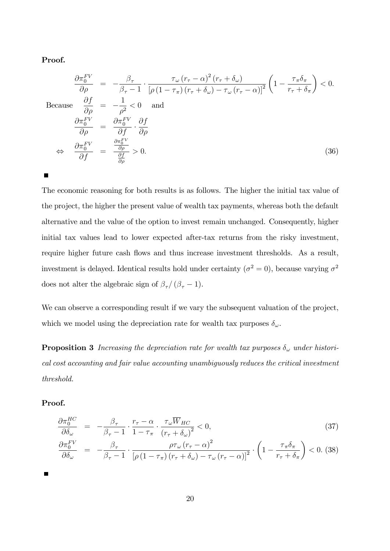#### Proof.

 $\blacksquare$ 

$$
\frac{\partial \pi_0^{FV}}{\partial \rho} = -\frac{\beta_\tau}{\beta_\tau - 1} \cdot \frac{\tau_\omega (r_\tau - \alpha)^2 (r_\tau + \delta_\omega)}{[\rho (1 - \tau_\pi) (r_\tau + \delta_\omega) - \tau_\omega (r_\tau - \alpha)]^2} \left(1 - \frac{\tau_\pi \delta_\pi}{r_\tau + \delta_\pi}\right) < 0.
$$
  
Because  $\frac{\partial f}{\partial \rho} = -\frac{1}{\rho^2} < 0$  and  
 $\frac{\partial \pi_0^{FV}}{\partial \rho} = \frac{\partial \pi_0^{FV}}{\partial f} \cdot \frac{\partial f}{\partial \rho}$   
 $\Leftrightarrow \frac{\partial \pi_0^{FV}}{\partial f} = \frac{\frac{\partial \pi_0^{FV}}{\partial \rho}}{\frac{\partial f}{\partial \rho}} > 0.$  (36)

The economic reasoning for both results is as follows. The higher the initial tax value of the project, the higher the present value of wealth tax payments, whereas both the default alternative and the value of the option to invest remain unchanged. Consequently, higher initial tax values lead to lower expected after-tax returns from the risky investment, require higher future cash flows and thus increase investment thresholds. As a result, investment is delayed. Identical results hold under certainty ( $\sigma^2 = 0$ ), because varying  $\sigma^2$ does not alter the algebraic sign of  $\beta_\tau/\,(\beta_\tau-1).$ 

We can observe a corresponding result if we vary the subsequent valuation of the project, which we model using the depreciation rate for wealth tax purposes  $\delta_{\omega}$ .

**Proposition 3** Increasing the depreciation rate for wealth tax purposes  $\delta_{\omega}$  under historical cost accounting and fair value accounting unambiguously reduces the critical investment threshold.

#### Proof.

$$
\frac{\partial \pi_0^{HC}}{\partial \delta_{\omega}} = -\frac{\beta_{\tau}}{\beta_{\tau} - 1} \cdot \frac{r_{\tau} - \alpha}{1 - \tau_{\pi}} \cdot \frac{\tau_{\omega} \overline{W}_{HC}}{\left(r_{\tau} + \delta_{\omega}\right)^2} < 0, \tag{37}
$$
\n
$$
\frac{\partial \pi_0^{FV}}{\partial \delta_{\omega}} = -\frac{\beta_{\tau}}{\beta_{\tau} - 1} \cdot \frac{\rho \tau_{\omega} \left(r_{\tau} - \alpha\right)^2}{\left[\rho \left(1 - \tau_{\pi}\right) \left(r_{\tau} + \delta_{\omega}\right) - \tau_{\omega} \left(r_{\tau} - \alpha\right)\right]^2} \cdot \left(1 - \frac{\tau_{\pi} \delta_{\pi}}{r_{\tau} + \delta_{\pi}}\right) < 0. \tag{38}
$$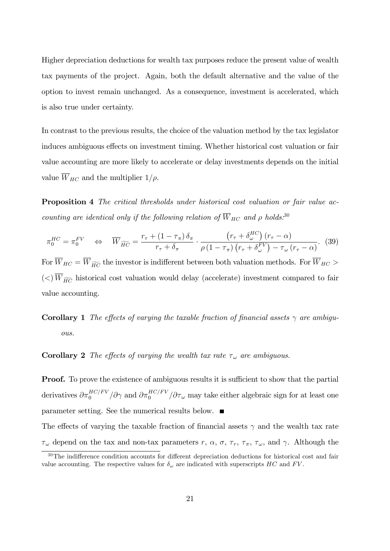Higher depreciation deductions for wealth tax purposes reduce the present value of wealth tax payments of the project. Again, both the default alternative and the value of the option to invest remain unchanged. As a consequence, investment is accelerated, which is also true under certainty.

In contrast to the previous results, the choice of the valuation method by the tax legislator induces ambiguous effects on investment timing. Whether historical cost valuation or fair value accounting are more likely to accelerate or delay investments depends on the initial value  $\overline{W}_{HC}$  and the multiplier  $1/\rho$ .

Proposition 4 The critical thresholds under historical cost valuation or fair value accounting are identical only if the following relation of  $\overline{W}_{HC}$  and  $\rho$  holds.<sup>30</sup>

$$
\pi_0^{HC} = \pi_0^{FV} \quad \Leftrightarrow \quad \overline{W}_{\widetilde{HC}} = \frac{r_\tau + (1 - \tau_\pi) \,\delta_\pi}{r_\tau + \delta_\pi} \cdot \frac{\left(r_\tau + \delta_\omega^{HC}\right)(r_\tau - \alpha)}{\rho \left(1 - \tau_\pi\right) \left(r_\tau + \delta_\omega^{FV}\right) - \tau_\omega \left(r_\tau - \alpha\right)}.\tag{39}
$$

For  $\overline{W}_{HC} = \overline{W}_{\widetilde{HC}}$  the investor is indifferent between both valuation methods. For  $\overline{W}_{HC}$  $(<)$   $\overline{W}_{\widetilde{HC}}$  historical cost valuation would delay (accelerate) investment compared to fair value accounting.

**Corollary 1** The effects of varying the taxable fraction of financial assets  $\gamma$  are ambiguous.

**Corollary 2** The effects of varying the wealth tax rate  $\tau_{\omega}$  are ambiguous.

**Proof.** To prove the existence of ambiguous results it is sufficient to show that the partial derivatives  $\partial \pi_0^{HC/FV}/\partial \gamma$  and  $\partial \pi_0^{HC/FV}/\partial \tau_\omega$  may take either algebraic sign for at least one parameter setting. See the numerical results below.

The effects of varying the taxable fraction of financial assets  $\gamma$  and the wealth tax rate  $\tau_{\omega}$  depend on the tax and non-tax parameters r,  $\alpha$ ,  $\sigma$ ,  $\tau_r$ ,  $\tau_{\pi}$ ,  $\tau_{\omega}$ , and  $\gamma$ . Although the

 $30$ The indifference condition accounts for different depreciation deductions for historical cost and fair value accounting. The respective values for  $\delta_{\omega}$  are indicated with superscripts HC and FV.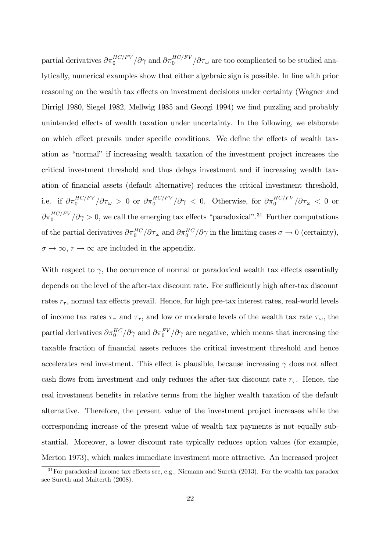partial derivatives  $\partial \pi_0^{HC/FV}/\partial \gamma$  and  $\partial \pi_0^{HC/FV}/\partial \tau_\omega$  are too complicated to be studied analytically, numerical examples show that either algebraic sign is possible. In line with prior reasoning on the wealth tax effects on investment decisions under certainty (Wagner and Dirrigl 1980, Siegel 1982, Mellwig 1985 and Georgi 1994) we find puzzling and probably unintended effects of wealth taxation under uncertainty. In the following, we elaborate on which effect prevails under specific conditions. We define the effects of wealth taxation as "normal" if increasing wealth taxation of the investment project increases the critical investment threshold and thus delays investment and if increasing wealth taxation of financial assets (default alternative) reduces the critical investment threshold, i.e. if  $\partial \pi_0^{HC/FV}/\partial \tau_\omega > 0$  or  $\partial \pi_0^{HC/FV}/\partial \gamma < 0$ . Otherwise, for  $\partial \pi_0^{HC/FV}/\partial \tau_\omega < 0$  or  $\partial \pi_0^{HC/FV} / \partial \gamma > 0$ , we call the emerging tax effects "paradoxical".<sup>31</sup> Further computations of the partial derivatives  $\partial \pi_0^{HC}/\partial \tau_\omega$  and  $\partial \pi_0^{HC}/\partial \gamma$  in the limiting cases  $\sigma \to 0$  (certainty),  $\sigma \to \infty$ ,  $r \to \infty$  are included in the appendix.

With respect to  $\gamma$ , the occurrence of normal or paradoxical wealth tax effects essentially depends on the level of the after-tax discount rate. For sufficiently high after-tax discount rates  $r_{\tau}$ , normal tax effects prevail. Hence, for high pre-tax interest rates, real-world levels of income tax rates  $\tau_{\pi}$  and  $\tau_{r}$ , and low or moderate levels of the wealth tax rate  $\tau_{\omega}$ , the partial derivatives  $\partial \pi_0^{HC} / \partial \gamma$  and  $\partial \pi_0^{FV} / \partial \gamma$  are negative, which means that increasing the taxable fraction of Önancial assets reduces the critical investment threshold and hence accelerates real investment. This effect is plausible, because increasing  $\gamma$  does not affect cash flows from investment and only reduces the after-tax discount rate  $r_{\tau}$ . Hence, the real investment benefits in relative terms from the higher wealth taxation of the default alternative. Therefore, the present value of the investment project increases while the corresponding increase of the present value of wealth tax payments is not equally substantial. Moreover, a lower discount rate typically reduces option values (for example, Merton 1973), which makes immediate investment more attractive. An increased project

 $31$  For paradoxical income tax effects see, e.g., Niemann and Sureth (2013). For the wealth tax paradox see Sureth and Maiterth (2008).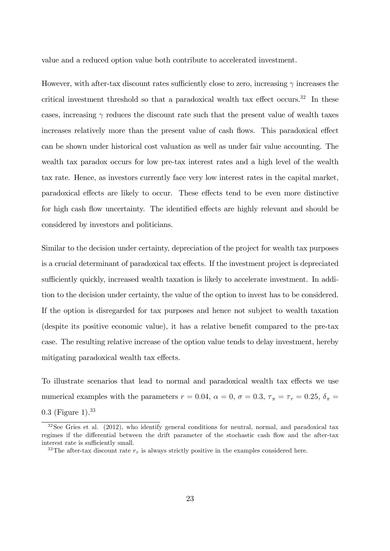value and a reduced option value both contribute to accelerated investment.

However, with after-tax discount rates sufficiently close to zero, increasing  $\gamma$  increases the critical investment threshold so that a paradoxical wealth tax effect occurs.<sup>32</sup> In these cases, increasing  $\gamma$  reduces the discount rate such that the present value of wealth taxes increases relatively more than the present value of cash flows. This paradoxical effect can be shown under historical cost valuation as well as under fair value accounting. The wealth tax paradox occurs for low pre-tax interest rates and a high level of the wealth tax rate. Hence, as investors currently face very low interest rates in the capital market, paradoxical effects are likely to occur. These effects tend to be even more distinctive for high cash flow uncertainty. The identified effects are highly relevant and should be considered by investors and politicians.

Similar to the decision under certainty, depreciation of the project for wealth tax purposes is a crucial determinant of paradoxical tax effects. If the investment project is depreciated sufficiently quickly, increased wealth taxation is likely to accelerate investment. In addition to the decision under certainty, the value of the option to invest has to be considered. If the option is disregarded for tax purposes and hence not subject to wealth taxation (despite its positive economic value), it has a relative benefit compared to the pre-tax case. The resulting relative increase of the option value tends to delay investment, hereby mitigating paradoxical wealth tax effects.

To illustrate scenarios that lead to normal and paradoxical wealth tax effects we use numerical examples with the parameters  $r = 0.04$ ,  $\alpha = 0$ ,  $\sigma = 0.3$ ,  $\tau_{\pi} = \tau_r = 0.25$ ,  $\delta_{\pi} =$ 0:3 (Figure 1).<sup>33</sup>

 $32$ See Gries et al. (2012), who identify general conditions for neutral, normal, and paradoxical tax regimes if the differential between the drift parameter of the stochastic cash flow and the after-tax interest rate is sufficiently small.

<sup>&</sup>lt;sup>33</sup>The after-tax discount rate  $r<sub>\tau</sub>$  is always strictly positive in the examples considered here.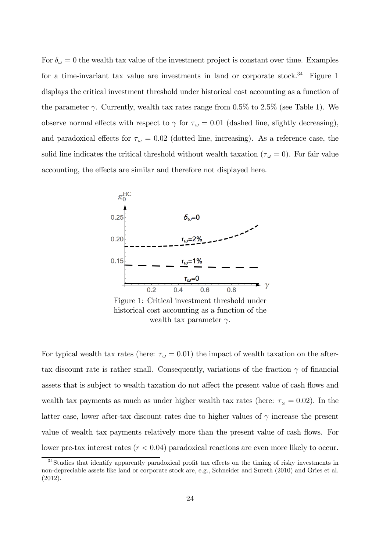For  $\delta_{\omega} = 0$  the wealth tax value of the investment project is constant over time. Examples for a time-invariant tax value are investments in land or corporate stock.<sup>34</sup> Figure 1 displays the critical investment threshold under historical cost accounting as a function of the parameter  $\gamma$ . Currently, wealth tax rates range from 0.5% to 2.5% (see Table 1). We observe normal effects with respect to  $\gamma$  for  $\tau_{\omega} = 0.01$  (dashed line, slightly decreasing), and paradoxical effects for  $\tau_{\omega} = 0.02$  (dotted line, increasing). As a reference case, the solid line indicates the critical threshold without wealth taxation ( $\tau_{\omega} = 0$ ). For fair value accounting, the effects are similar and therefore not displayed here.



Figure 1: Critical investment threshold under historical cost accounting as a function of the wealth tax parameter  $\gamma$ .

For typical wealth tax rates (here:  $\tau_{\omega} = 0.01$ ) the impact of wealth taxation on the aftertax discount rate is rather small. Consequently, variations of the fraction  $\gamma$  of financial assets that is subject to wealth taxation do not affect the present value of cash flows and wealth tax payments as much as under higher wealth tax rates (here:  $\tau_{\omega} = 0.02$ ). In the latter case, lower after-tax discount rates due to higher values of  $\gamma$  increase the present value of wealth tax payments relatively more than the present value of cash flows. For lower pre-tax interest rates  $(r < 0.04)$  paradoxical reactions are even more likely to occur.

 $34$ Studies that identify apparently paradoxical profit tax effects on the timing of risky investments in non-depreciable assets like land or corporate stock are, e.g., Schneider and Sureth (2010) and Gries et al. (2012).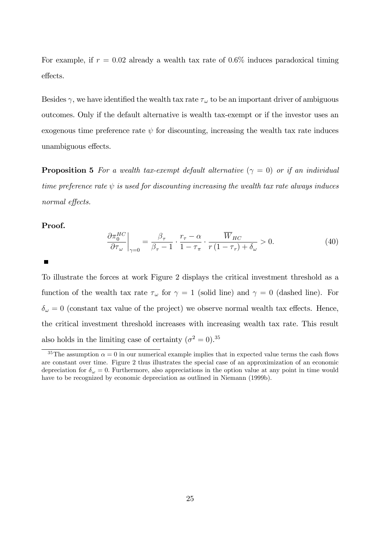For example, if  $r = 0.02$  already a wealth tax rate of 0.6% induces paradoxical timing effects.

Besides  $\gamma$ , we have identified the wealth tax rate  $\tau_{\omega}$  to be an important driver of ambiguous outcomes. Only if the default alternative is wealth tax-exempt or if the investor uses an exogenous time preference rate  $\psi$  for discounting, increasing the wealth tax rate induces unambiguous effects.

**Proposition 5** For a wealth tax-exempt default alternative  $(\gamma = 0)$  or if an individual time preference rate  $\psi$  is used for discounting increasing the wealth tax rate always induces normal effects.

#### Proof.

$$
\left. \frac{\partial \pi_0^{HC}}{\partial \tau_\omega} \right|_{\gamma=0} = \frac{\beta_\tau}{\beta_\tau - 1} \cdot \frac{r_\tau - \alpha}{1 - \tau_\pi} \cdot \frac{\overline{W}_{HC}}{r(1 - \tau_r) + \delta_\omega} > 0. \tag{40}
$$

To illustrate the forces at work Figure 2 displays the critical investment threshold as a function of the wealth tax rate  $\tau_{\omega}$  for  $\gamma = 1$  (solid line) and  $\gamma = 0$  (dashed line). For  $\delta_\omega=0$  (constant tax value of the project) we observe normal wealth tax effects. Hence, the critical investment threshold increases with increasing wealth tax rate. This result also holds in the limiting case of certainty  $(\sigma^2 = 0)^{35}$ 

<sup>&</sup>lt;sup>35</sup>The assumption  $\alpha = 0$  in our numerical example implies that in expected value terms the cash flows are constant over time. Figure 2 thus illustrates the special case of an approximization of an economic depreciation for  $\delta_{\omega} = 0$ . Furthermore, also appreciations in the option value at any point in time would have to be recognized by economic depreciation as outlined in Niemann (1999b).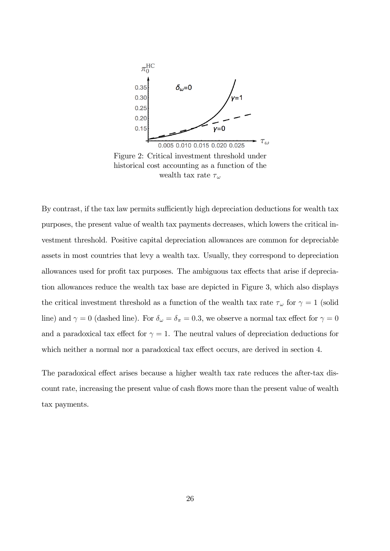

Figure 2: Critical investment threshold under historical cost accounting as a function of the wealth tax rate  $\tau_{\omega}$ 

By contrast, if the tax law permits sufficiently high depreciation deductions for wealth tax purposes, the present value of wealth tax payments decreases, which lowers the critical investment threshold. Positive capital depreciation allowances are common for depreciable assets in most countries that levy a wealth tax. Usually, they correspond to depreciation allowances used for profit tax purposes. The ambiguous tax effects that arise if depreciation allowances reduce the wealth tax base are depicted in Figure 3, which also displays the critical investment threshold as a function of the wealth tax rate  $\tau_{\omega}$  for  $\gamma = 1$  (solid line) and  $\gamma = 0$  (dashed line). For  $\delta_{\omega} = \delta_{\pi} = 0.3$ , we observe a normal tax effect for  $\gamma = 0$ and a paradoxical tax effect for  $\gamma = 1$ . The neutral values of depreciation deductions for which neither a normal nor a paradoxical tax effect occurs, are derived in section 4.

The paradoxical effect arises because a higher wealth tax rate reduces the after-tax discount rate, increasing the present value of cash flows more than the present value of wealth tax payments.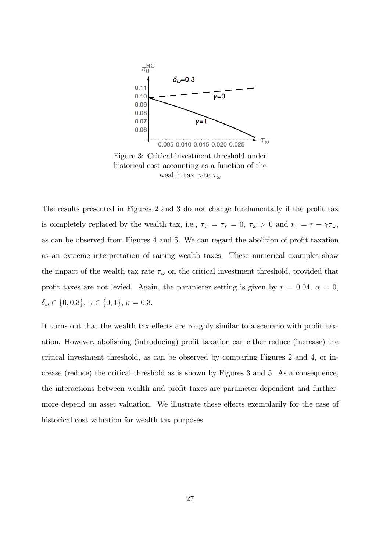

Figure 3: Critical investment threshold under historical cost accounting as a function of the wealth tax rate  $\tau_{\omega}$ 

The results presented in Figures 2 and 3 do not change fundamentally if the profit tax is completely replaced by the wealth tax, i.e.,  $\tau_{\pi} = \tau_r = 0$ ,  $\tau_{\omega} > 0$  and  $r_{\tau} = r - \gamma \tau_{\omega}$ , as can be observed from Figures 4 and 5. We can regard the abolition of profit taxation as an extreme interpretation of raising wealth taxes. These numerical examples show the impact of the wealth tax rate  $\tau_{\omega}$  on the critical investment threshold, provided that profit taxes are not levied. Again, the parameter setting is given by  $r = 0.04$ ,  $\alpha = 0$ ,  $\delta_{\omega} \in \{0, 0.3\}, \, \gamma \in \{0, 1\}, \, \sigma = 0.3.$ 

It turns out that the wealth tax effects are roughly similar to a scenario with profit taxation. However, abolishing (introducing) profit taxation can either reduce (increase) the critical investment threshold, as can be observed by comparing Figures 2 and 4, or increase (reduce) the critical threshold as is shown by Figures 3 and 5. As a consequence, the interactions between wealth and profit taxes are parameter-dependent and furthermore depend on asset valuation. We illustrate these effects exemplarily for the case of historical cost valuation for wealth tax purposes.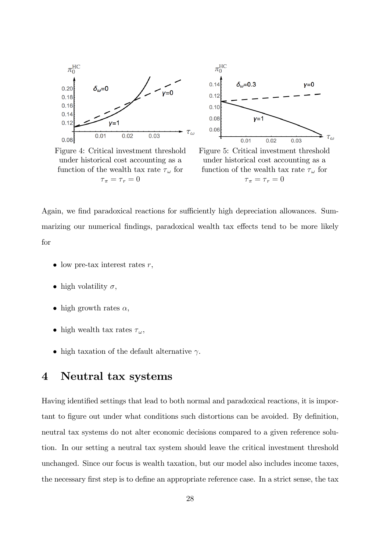

Figure 4: Critical investment threshold under historical cost accounting as a function of the wealth tax rate  $\tau_{\omega}$  for  $\tau_{\pi} = \tau_{r} = 0$ 



Figure 5: Critical investment threshold under historical cost accounting as a function of the wealth tax rate  $\tau_{\omega}$  for  $\tau_{\pi} = \tau_{r} = 0$ 

Again, we find paradoxical reactions for sufficiently high depreciation allowances. Summarizing our numerical findings, paradoxical wealth tax effects tend to be more likely for

- low pre-tax interest rates  $r$ ,
- high volatility  $\sigma$ ,
- high growth rates  $\alpha$ ,
- high wealth tax rates  $\tau_{\omega}$ ,
- high taxation of the default alternative  $\gamma$ .

### 4 Neutral tax systems

Having identified settings that lead to both normal and paradoxical reactions, it is important to figure out under what conditions such distortions can be avoided. By definition, neutral tax systems do not alter economic decisions compared to a given reference solution. In our setting a neutral tax system should leave the critical investment threshold unchanged. Since our focus is wealth taxation, but our model also includes income taxes, the necessary first step is to define an appropriate reference case. In a strict sense, the tax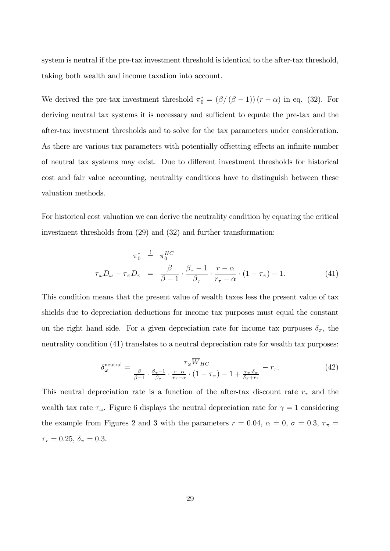system is neutral if the pre-tax investment threshold is identical to the after-tax threshold, taking both wealth and income taxation into account.

We derived the pre-tax investment threshold  $\pi_0^* = (\beta/(\beta - 1))(r - \alpha)$  in eq. (32). For deriving neutral tax systems it is necessary and sufficient to equate the pre-tax and the after-tax investment thresholds and to solve for the tax parameters under consideration. As there are various tax parameters with potentially offsetting effects an infinite number of neutral tax systems may exist. Due to different investment thresholds for historical cost and fair value accounting, neutrality conditions have to distinguish between these valuation methods.

For historical cost valuation we can derive the neutrality condition by equating the critical investment thresholds from (29) and (32) and further transformation:

$$
\pi_0^* \stackrel{!}{=} \pi_0^{HC}
$$
  

$$
\tau_{\omega} D_{\omega} - \tau_{\pi} D_{\pi} = \frac{\beta}{\beta - 1} \cdot \frac{\beta_{\tau} - 1}{\beta_{\tau}} \cdot \frac{r - \alpha}{r_{\tau} - \alpha} \cdot (1 - \tau_{\pi}) - 1.
$$
 (41)

This condition means that the present value of wealth taxes less the present value of tax shields due to depreciation deductions for income tax purposes must equal the constant on the right hand side. For a given depreciation rate for income tax purposes  $\delta_{\pi}$ , the neutrality condition (41) translates to a neutral depreciation rate for wealth tax purposes:

$$
\delta_{\omega}^{\text{neutral}} = \frac{\tau_{\omega} \overline{W}_{HC}}{\frac{\beta}{\beta - 1} \cdot \frac{\beta_{\tau} - 1}{\beta_{\tau}} \cdot \frac{r - \alpha}{r_{\tau} - \alpha} \cdot (1 - \tau_{\pi}) - 1 + \frac{\tau_{\pi} \cdot \delta_{\pi}}{\delta_{\pi} + r_{\tau}}} - r_{\tau}.
$$
\n(42)

This neutral depreciation rate is a function of the after-tax discount rate  $r<sub>\tau</sub>$  and the wealth tax rate  $\tau_{\omega}$ . Figure 6 displays the neutral depreciation rate for  $\gamma = 1$  considering the example from Figures 2 and 3 with the parameters  $r = 0.04$ ,  $\alpha = 0$ ,  $\sigma = 0.3$ ,  $\tau_{\pi} =$  $\tau_r = 0.25, \, \delta_\pi = 0.3.$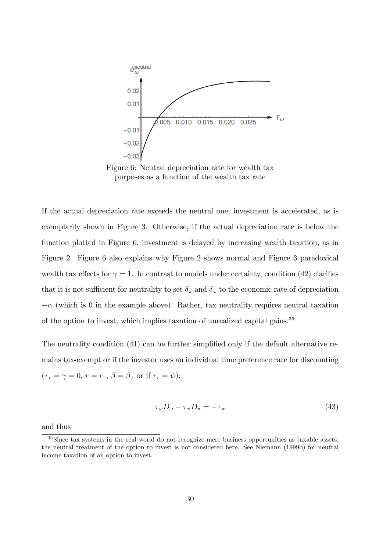

Figure 6: Neutral depreciation rate for wealth tax purposes as a function of the wealth tax rate

If the actual depreciation rate exceeds the neutral one, investment is accelerated, as is exemplarily shown in Figure 3. Otherwise, if the actual depreciation rate is below the function plotted in Figure 6, investment is delayed by increasing wealth taxation, as in Figure 2. Figure 6 also explains why Figure 2 shows normal and Figure 3 paradoxical wealth tax effects for  $\gamma = 1$ . In contrast to models under certainty, condition (42) clarifies that it is not sufficient for neutrality to set  $\delta_{\pi}$  and  $\delta_{\omega}$  to the economic rate of depreciation  $-\alpha$  (which is 0 in the example above). Rather, tax neutrality requires neutral taxation of the option to invest, which implies taxation of unrealized capital gains.<sup>36</sup>

The neutrality condition (41) can be further simplified only if the default alternative remains tax-exempt or if the investor uses an individual time preference rate for discounting  $(\tau_r = \gamma = 0, r = r_\tau, \beta = \beta_\tau \text{ or if } r_\tau = \psi)$ :

$$
\tau_{\omega}D_{\omega} - \tau_{\pi}D_{\pi} = -\tau_{\pi} \tag{43}
$$

and thus

 $36$ Since tax systems in the real world do not recognize mere business opportunities as taxable assets, the neutral treatment of the option to invest is not considered here. See Niemann (1999b) for neutral income taxation of an option to invest.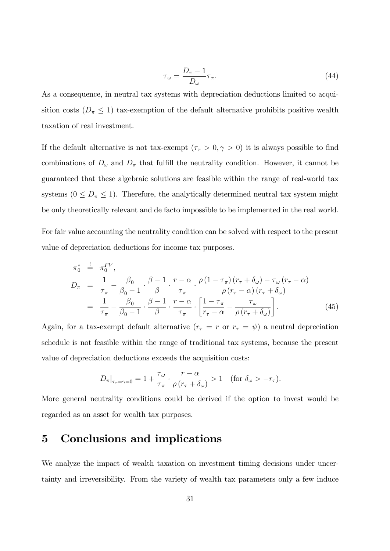$$
\tau_{\omega} = \frac{D_{\pi} - 1}{D_{\omega}} \tau_{\pi}.
$$
\n(44)

As a consequence, in neutral tax systems with depreciation deductions limited to acquisition costs ( $D_{\pi} \leq 1$ ) tax-exemption of the default alternative prohibits positive wealth taxation of real investment.

If the default alternative is not tax-exempt  $(\tau_r > 0, \gamma > 0)$  it is always possible to find combinations of  $D_{\omega}$  and  $D_{\pi}$  that fulfill the neutrality condition. However, it cannot be guaranteed that these algebraic solutions are feasible within the range of real-world tax systems ( $0 \leq D_{\pi} \leq 1$ ). Therefore, the analytically determined neutral tax system might be only theoretically relevant and de facto impossible to be implemented in the real world.

For fair value accounting the neutrality condition can be solved with respect to the present value of depreciation deductions for income tax purposes.

$$
\pi_0^* \stackrel{!}{=} \pi_0^{FV},
$$
\n
$$
D_{\pi} = \frac{1}{\tau_{\pi}} - \frac{\beta_0}{\beta_0 - 1} \cdot \frac{\beta - 1}{\beta} \cdot \frac{r - \alpha}{\tau_{\pi}} \cdot \frac{\rho (1 - \tau_{\pi}) (r_{\tau} + \delta_{\omega}) - \tau_{\omega} (r_{\tau} - \alpha)}{\rho (r_{\tau} - \alpha) (r_{\tau} + \delta_{\omega})}
$$
\n
$$
= \frac{1}{\tau_{\pi}} - \frac{\beta_0}{\beta_0 - 1} \cdot \frac{\beta - 1}{\beta} \cdot \frac{r - \alpha}{\tau_{\pi}} \cdot \left[ \frac{1 - \tau_{\pi}}{r_{\tau} - \alpha} - \frac{\tau_{\omega}}{\rho (r_{\tau} + \delta_{\omega})} \right].
$$
\n(45)

Again, for a tax-exempt default alternative  $(r_\tau = r \text{ or } r_\tau = \psi)$  a neutral depreciation schedule is not feasible within the range of traditional tax systems, because the present value of depreciation deductions exceeds the acquisition costs:

$$
D_{\pi}|_{\tau_r = \gamma = 0} = 1 + \frac{\tau_{\omega}}{\tau_{\pi}} \cdot \frac{r - \alpha}{\rho(r_{\tau} + \delta_{\omega})} > 1 \quad \text{(for } \delta_{\omega} > -r_{\tau}\text{)}.
$$

More general neutrality conditions could be derived if the option to invest would be regarded as an asset for wealth tax purposes.

### 5 Conclusions and implications

We analyze the impact of wealth taxation on investment timing decisions under uncertainty and irreversibility. From the variety of wealth tax parameters only a few induce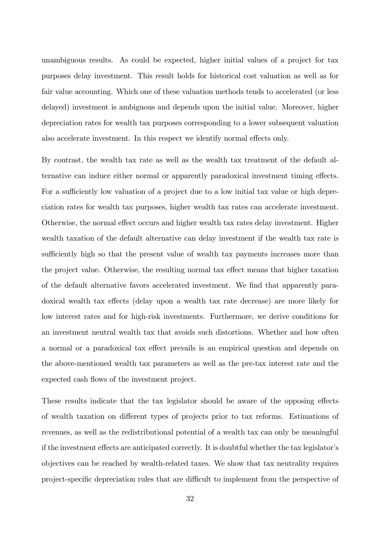unambiguous results. As could be expected, higher initial values of a project for tax purposes delay investment. This result holds for historical cost valuation as well as for fair value accounting. Which one of these valuation methods tends to accelerated (or less delayed) investment is ambiguous and depends upon the initial value. Moreover, higher depreciation rates for wealth tax purposes corresponding to a lower subsequent valuation also accelerate investment. In this respect we identify normal effects only.

By contrast, the wealth tax rate as well as the wealth tax treatment of the default alternative can induce either normal or apparently paradoxical investment timing effects. For a sufficiently low valuation of a project due to a low initial tax value or high depreciation rates for wealth tax purposes, higher wealth tax rates can accelerate investment. Otherwise, the normal effect occurs and higher wealth tax rates delay investment. Higher wealth taxation of the default alternative can delay investment if the wealth tax rate is sufficiently high so that the present value of wealth tax payments increases more than the project value. Otherwise, the resulting normal tax effect means that higher taxation of the default alternative favors accelerated investment. We find that apparently paradoxical wealth tax effects (delay upon a wealth tax rate decrease) are more likely for low interest rates and for high-risk investments. Furthermore, we derive conditions for an investment neutral wealth tax that avoids such distortions. Whether and how often a normal or a paradoxical tax effect prevails is an empirical question and depends on the above-mentioned wealth tax parameters as well as the pre-tax interest rate and the expected cash flows of the investment project.

These results indicate that the tax legislator should be aware of the opposing effects of wealth taxation on different types of projects prior to tax reforms. Estimations of revenues, as well as the redistributional potential of a wealth tax can only be meaningful if the investment effects are anticipated correctly. It is doubtful whether the tax legislator's objectives can be reached by wealth-related taxes. We show that tax neutrality requires project-specific depreciation rules that are difficult to implement from the perspective of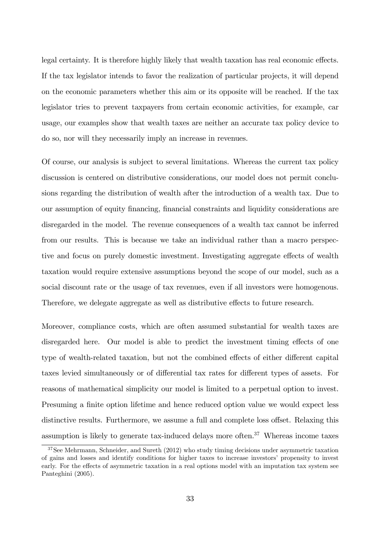legal certainty. It is therefore highly likely that wealth taxation has real economic effects. If the tax legislator intends to favor the realization of particular projects, it will depend on the economic parameters whether this aim or its opposite will be reached. If the tax legislator tries to prevent taxpayers from certain economic activities, for example, car usage, our examples show that wealth taxes are neither an accurate tax policy device to do so, nor will they necessarily imply an increase in revenues.

Of course, our analysis is subject to several limitations. Whereas the current tax policy discussion is centered on distributive considerations, our model does not permit conclusions regarding the distribution of wealth after the introduction of a wealth tax. Due to our assumption of equity Önancing, Önancial constraints and liquidity considerations are disregarded in the model. The revenue consequences of a wealth tax cannot be inferred from our results. This is because we take an individual rather than a macro perspective and focus on purely domestic investment. Investigating aggregate effects of wealth taxation would require extensive assumptions beyond the scope of our model, such as a social discount rate or the usage of tax revenues, even if all investors were homogenous. Therefore, we delegate aggregate as well as distributive effects to future research.

Moreover, compliance costs, which are often assumed substantial for wealth taxes are disregarded here. Our model is able to predict the investment timing effects of one type of wealth-related taxation, but not the combined effects of either different capital taxes levied simultaneously or of differential tax rates for different types of assets. For reasons of mathematical simplicity our model is limited to a perpetual option to invest. Presuming a finite option lifetime and hence reduced option value we would expect less distinctive results. Furthermore, we assume a full and complete loss offset. Relaxing this assumption is likely to generate tax-induced delays more often.<sup>37</sup> Whereas income taxes

<sup>&</sup>lt;sup>37</sup>See Mehrmann, Schneider, and Sureth (2012) who study timing decisions under asymmetric taxation of gains and losses and identify conditions for higher taxes to increase investorsí propensity to invest early. For the effects of asymmetric taxation in a real options model with an imputation tax system see Panteghini (2005).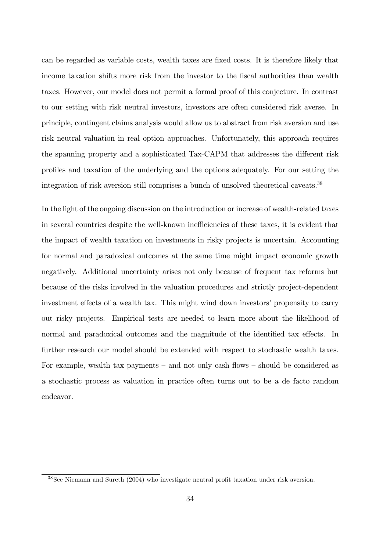can be regarded as variable costs, wealth taxes are fixed costs. It is therefore likely that income taxation shifts more risk from the investor to the fiscal authorities than wealth taxes. However, our model does not permit a formal proof of this conjecture. In contrast to our setting with risk neutral investors, investors are often considered risk averse. In principle, contingent claims analysis would allow us to abstract from risk aversion and use risk neutral valuation in real option approaches. Unfortunately, this approach requires the spanning property and a sophisticated Tax-CAPM that addresses the different risk proÖles and taxation of the underlying and the options adequately. For our setting the integration of risk aversion still comprises a bunch of unsolved theoretical caveats.<sup>38</sup>

In the light of the ongoing discussion on the introduction or increase of wealth-related taxes in several countries despite the well-known inefficiencies of these taxes, it is evident that the impact of wealth taxation on investments in risky projects is uncertain. Accounting for normal and paradoxical outcomes at the same time might impact economic growth negatively. Additional uncertainty arises not only because of frequent tax reforms but because of the risks involved in the valuation procedures and strictly project-dependent investment effects of a wealth tax. This might wind down investors' propensity to carry out risky projects. Empirical tests are needed to learn more about the likelihood of normal and paradoxical outcomes and the magnitude of the identified tax effects. In further research our model should be extended with respect to stochastic wealth taxes. For example, wealth tax payments – and not only cash flows – should be considered as a stochastic process as valuation in practice often turns out to be a de facto random endeavor.

 $38$ See Niemann and Sureth (2004) who investigate neutral profit taxation under risk aversion.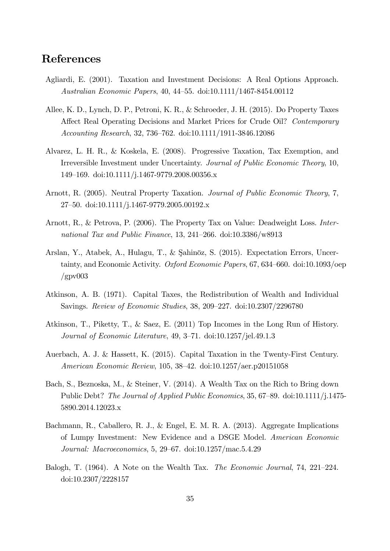## References

- Agliardi, E. (2001). Taxation and Investment Decisions: A Real Options Approach. Australian Economic Papers, 40, 44–55. doi:10.1111/1467-8454.00112
- Allee, K. D., Lynch, D. P., Petroni, K. R., & Schroeder, J. H. (2015). Do Property Taxes Affect Real Operating Decisions and Market Prices for Crude Oil? Contemporary Accounting Research, 32, 736–762. doi:10.1111/1911-3846.12086
- Alvarez, L. H. R., & Koskela, E. (2008). Progressive Taxation, Tax Exemption, and Irreversible Investment under Uncertainty. Journal of Public Economic Theory, 10, 149–169. doi:10.1111/j.1467-9779.2008.00356.x
- Arnott, R. (2005). Neutral Property Taxation. Journal of Public Economic Theory, 7, 27<sup>-50</sup>. doi:10.1111/j.1467-9779.2005.00192.x
- Arnott, R., & Petrova, P. (2006). The Property Tax on Value: Deadweight Loss. International Tax and Public Finance, 13, 241-266. doi:10.3386/w8913
- Arslan, Y., Atabek, A., Hulagu, T., & Şahinöz, S. (2015). Expectation Errors, Uncertainty, and Economic Activity. Oxford Economic Papers,  $67, 634-660$ . doi:10.1093/oep  $/$ gpv $003$
- Atkinson, A. B. (1971). Capital Taxes, the Redistribution of Wealth and Individual Savings. Review of Economic Studies,  $38, 209-227$ . doi:10.2307/2296780
- Atkinson, T., Piketty, T., & Saez, E. (2011) Top Incomes in the Long Run of History. Journal of Economic Literature,  $49, 3-71.$  doi:10.1257/jel.49.1.3
- Auerbach, A. J. & Hassett, K. (2015). Capital Taxation in the Twenty-First Century. American Economic Review, 105, 38–42. doi:10.1257/aer.p20151058
- Bach, S., Beznoska, M., & Steiner, V. (2014). A Wealth Tax on the Rich to Bring down Public Debt? The Journal of Applied Public Economics, 35, 67–89. doi:10.1111/j.1475-5890.2014.12023.x
- Bachmann, R., Caballero, R. J., & Engel, E. M. R. A. (2013). Aggregate Implications of Lumpy Investment: New Evidence and a DSGE Model. American Economic Journal: Macroeconomics, 5, 29–67. doi:10.1257/mac.5.4.29
- Balogh, T. (1964). A Note on the Wealth Tax. The Economic Journal, 74, 221–224. doi:10.2307/2228157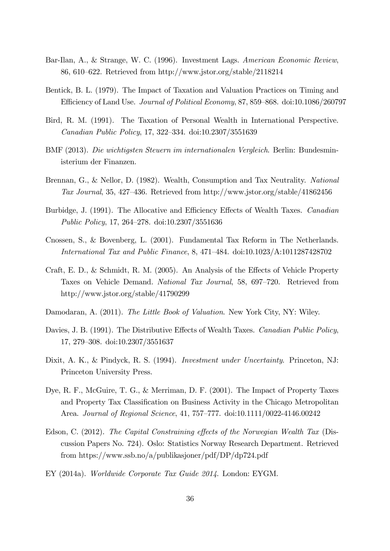- Bar-Ilan, A., & Strange, W. C. (1996). Investment Lags. American Economic Review, 86, 610–622. Retrieved from http://www.jstor.org/stable/2118214
- Bentick, B. L. (1979). The Impact of Taxation and Valuation Practices on Timing and Efficiency of Land Use. Journal of Political Economy, 87, 859–868. doi:10.1086/260797
- Bird, R. M. (1991). The Taxation of Personal Wealth in International Perspective. Canadian Public Policy, 17, 322–334. doi:10.2307/3551639
- BMF (2013). Die wichtigsten Steuern im internationalen Vergleich. Berlin: Bundesministerium der Finanzen.
- Brennan, G., & Nellor, D. (1982). Wealth, Consumption and Tax Neutrality. National Tax Journal, 35, 427–436. Retrieved from http://www.jstor.org/stable/41862456
- Burbidge, J. (1991). The Allocative and Efficiency Effects of Wealth Taxes. Canadian Public Policy, 17, 264–278. doi:10.2307/3551636
- Cnossen, S., & Bovenberg, L. (2001). Fundamental Tax Reform in The Netherlands. *International Tax and Public Finance*, 8, 471–484. doi:10.1023/A:1011287428702
- Craft, E. D., & Schmidt, R. M. (2005). An Analysis of the Effects of Vehicle Property Taxes on Vehicle Demand. National Tax Journal, 58, 697-720. Retrieved from http://www.jstor.org/stable/41790299
- Damodaran, A. (2011). The Little Book of Valuation. New York City, NY: Wiley.
- Davies, J. B. (1991). The Distributive Effects of Wealth Taxes. Canadian Public Policy, 17, 279–308. doi:10.2307/3551637
- Dixit, A. K., & Pindyck, R. S. (1994). Investment under Uncertainty. Princeton, NJ: Princeton University Press.
- Dye, R. F., McGuire, T. G., & Merriman, D. F. (2001). The Impact of Property Taxes and Property Tax Classification on Business Activity in the Chicago Metropolitan Area. *Journal of Regional Science*,  $41, 757–777$ . doi:10.1111/0022-4146.00242
- Edson, C. (2012). The Capital Constraining effects of the Norwegian Wealth Tax (Discussion Papers No. 724). Oslo: Statistics Norway Research Department. Retrieved from https://www.ssb.no/a/publikasjoner/pdf/DP/dp724.pdf
- EY (2014a). Worldwide Corporate Tax Guide 2014. London: EYGM.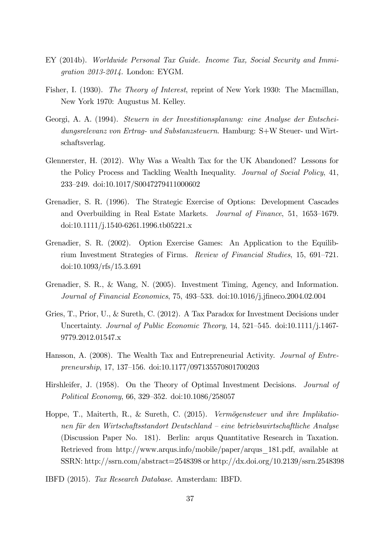- EY (2014b). Worldwide Personal Tax Guide. Income Tax, Social Security and Immigration 2013-2014. London: EYGM.
- Fisher, I. (1930). The Theory of Interest, reprint of New York 1930: The Macmillan, New York 1970: Augustus M. Kelley.
- Georgi, A. A. (1994). Steuern in der Investitionsplanung: eine Analyse der Entscheidungsrelevanz von Ertrag- und Substanzsteuern. Hamburg: S+W Steuer- und Wirtschaftsverlag.
- Glennerster, H. (2012). Why Was a Wealth Tax for the UK Abandoned? Lessons for the Policy Process and Tackling Wealth Inequality. Journal of Social Policy, 41, 233ñ249. doi:10.1017/S0047279411000602
- Grenadier, S. R. (1996). The Strategic Exercise of Options: Development Cascades and Overbuilding in Real Estate Markets. Journal of Finance, 51, 1653-1679. doi:10.1111/j.1540-6261.1996.tb05221.x
- Grenadier, S. R. (2002). Option Exercise Games: An Application to the Equilibrium Investment Strategies of Firms. Review of Financial Studies,  $15, 691-721$ . doi:10.1093/rfs/15.3.691
- Grenadier, S. R., & Wang, N. (2005). Investment Timing, Agency, and Information. Journal of Financial Economics, 75, 493–533. doi:10.1016/j.jfineco.2004.02.004
- Gries, T., Prior, U., & Sureth, C. (2012). A Tax Paradox for Investment Decisions under Uncertainty. Journal of Public Economic Theory, 14, 521–545. doi:10.1111/j.1467-9779.2012.01547.x
- Hansson, A. (2008). The Wealth Tax and Entrepreneurial Activity. Journal of Entrepreneurship, 17, 137–156. doi:10.1177/097135570801700203
- Hirshleifer, J. (1958). On the Theory of Optimal Investment Decisions. Journal of Political Economy, 66, 329–352. doi:10.1086/258057
- Hoppe, T., Maiterth, R., & Sureth, C. (2015). Vermögensteuer und ihre Implikationen für den Wirtschaftsstandort Deutschland – eine betriebswirtschaftliche Analyse (Discussion Paper No. 181). Berlin: arqus Quantitative Research in Taxation. Retrieved from http://www.arqus.info/mobile/paper/arqus\_181.pdf, available at SSRN: http://ssrn.com/abstract=2548398 or http://dx.doi.org/10.2139/ssrn.2548398
- IBFD (2015). Tax Research Database. Amsterdam: IBFD.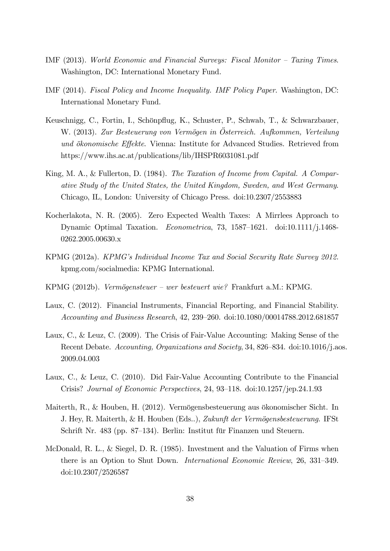- IMF  $(2013)$ . World Economic and Financial Surveys: Fiscal Monitor Taxing Times. Washington, DC: International Monetary Fund.
- IMF (2014). Fiscal Policy and Income Inequality. IMF Policy Paper. Washington, DC: International Monetary Fund.
- Keuschnigg, C., Fortin, I., Schönpflug, K., Schuster, P., Schwab, T., & Schwarzbauer, W. (2013). Zur Besteuerung von Vermögen in Österreich. Aufkommen, Verteilung und ökonomische Effekte. Vienna: Institute for Advanced Studies. Retrieved from https://www.ihs.ac.at/publications/lib/IHSPR6031081.pdf
- King, M. A., & Fullerton, D. (1984). The Taxation of Income from Capital. A Comparative Study of the United States, the United Kingdom, Sweden, and West Germany. Chicago, IL, London: University of Chicago Press. doi:10.2307/2553883
- Kocherlakota, N. R. (2005). Zero Expected Wealth Taxes: A Mirrlees Approach to Dynamic Optimal Taxation. Econometrica, 73, 1587–1621. doi:10.1111/j.1468-0262.2005.00630.x
- KPMG (2012a). KPMGís Individual Income Tax and Social Security Rate Survey 2012. kpmg.com/socialmedia: KPMG International.
- KPMG (2012b). Vermögensteuer wer besteuert wie? Frankfurt a.M.: KPMG.
- Laux, C. (2012). Financial Instruments, Financial Reporting, and Financial Stability. Accounting and Business Research, 42, 239-260. doi:10.1080/00014788.2012.681857
- Laux, C., & Leuz, C. (2009). The Crisis of Fair-Value Accounting: Making Sense of the Recent Debate. Accounting, Organizations and Society, 34, 826–834. doi:10.1016/j.aos. 2009.04.003
- Laux, C., & Leuz, C. (2010). Did Fair-Value Accounting Contribute to the Financial Crisis? Journal of Economic Perspectives, 24,  $93-118$ . doi: $10.1257/$ jep.24.1.93
- Maiterth, R., & Houben, H. (2012). Vermögensbesteuerung aus ökonomischer Sicht. In J. Hey, R. Maiterth, & H. Houben (Eds..), Zukunft der Vermögensbesteuerung. IFSt Schrift Nr. 483 (pp. 87–134). Berlin: Institut für Finanzen und Steuern.
- McDonald, R. L., & Siegel, D. R. (1985). Investment and the Valuation of Firms when there is an Option to Shut Down. *International Economic Review*, 26, 331–349. doi:10.2307/2526587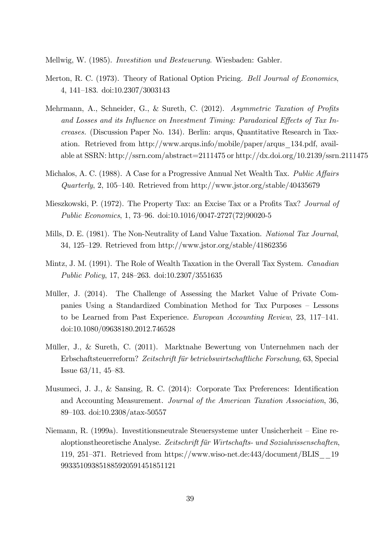Mellwig, W. (1985). Investition und Besteuerung. Wiesbaden: Gabler.

- Merton, R. C. (1973). Theory of Rational Option Pricing. Bell Journal of Economics, 4, 141-183. doi:10.2307/3003143
- Mehrmann, A., Schneider, G., & Sureth, C.  $(2012)$ . Asymmetric Taxation of Profits and Losses and its Influence on Investment Timing: Paradoxical Effects of Tax Increases. (Discussion Paper No. 134). Berlin: arqus, Quantitative Research in Taxation. Retrieved from http://www.arqus.info/mobile/paper/arqus\_134.pdf, available at SSRN: http://ssrn.com/abstract=2111475 or http://dx.doi.org/10.2139/ssrn.2111475
- Michalos, A. C. (1988). A Case for a Progressive Annual Net Wealth Tax. Public Affairs Quarterly, 2, 105–140. Retrieved from http://www.jstor.org/stable/40435679
- Mieszkowski, P. (1972). The Property Tax: an Excise Tax or a Profits Tax? Journal of Public Economics, 1, 73–96. doi:10.1016/0047-2727(72)90020-5
- Mills, D. E. (1981). The Non-Neutrality of Land Value Taxation. National Tax Journal, 34, 125–129. Retrieved from http://www.jstor.org/stable/41862356
- Mintz, J. M. (1991). The Role of Wealth Taxation in the Overall Tax System. Canadian Public Policy, 17, 248–263. doi:10.2307/3551635
- Müller, J. (2014). The Challenge of Assessing the Market Value of Private Companies Using a Standardized Combination Method for Tax Purposes – Lessons to be Learned from Past Experience. European Accounting Review, 23, 117–141. doi:10.1080/09638180.2012.746528
- Müller, J., & Sureth, C. (2011). Marktnahe Bewertung von Unternehmen nach der Erbschaftsteuerreform? Zeitschrift für betriebswirtschaftliche Forschung, 63, Special Issue  $63/11$ ,  $45–83$ .
- Musumeci, J. J., & Sansing, R. C. (2014): Corporate Tax Preferences: Identification and Accounting Measurement. Journal of the American Taxation Association, 36, 89–103. doi:10.2308/atax-50557
- Niemann, R. (1999a). Investitionsneutrale Steuersysteme unter Unsicherheit Eine realoptionstheoretische Analyse. Zeitschrift für Wirtschafts- und Sozialwissenschaften, 119, 251–371. Retrieved from https://www.wiso-net.de:443/document/BLIS 19 993351093851885920591451851121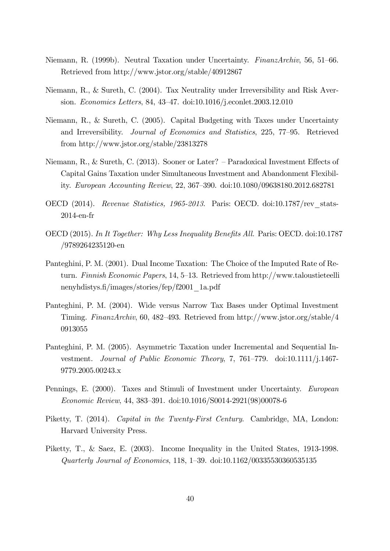- Niemann, R. (1999b). Neutral Taxation under Uncertainty. FinanzArchiv, 56, 51–66. Retrieved from http://www.jstor.org/stable/40912867
- Niemann, R., & Sureth, C. (2004). Tax Neutrality under Irreversibility and Risk Aversion. Economics Letters, 84, 43–47. doi:10.1016/j.econlet.2003.12.010
- Niemann, R., & Sureth, C. (2005). Capital Budgeting with Taxes under Uncertainty and Irreversibility. Journal of Economics and Statistics, 225, 77–95. Retrieved from http://www.jstor.org/stable/23813278
- Niemann, R., & Sureth, C. (2013). Sooner or Later? Paradoxical Investment Effects of Capital Gains Taxation under Simultaneous Investment and Abandonment Flexibility. European Accounting Review, 22, 367–390. doi:10.1080/09638180.2012.682781
- OECD (2014). Revenue Statistics, 1965-2013. Paris: OECD. doi:10.1787/rev\_stats-2014-en-fr
- OECD (2015). In It Together: Why Less Inequality Benefits All. Paris: OECD. doi:10.1787 /9789264235120-en
- Panteghini, P. M. (2001). Dual Income Taxation: The Choice of the Imputed Rate of Return. Finnish Economic Papers, 14, 5–13. Retrieved from http://www.taloustieteelli nenyhdistys.Ö/images/stories/fep/f2001\_1a.pdf
- Panteghini, P. M. (2004). Wide versus Narrow Tax Bases under Optimal Investment Timing. FinanzArchiv, 60, 482–493. Retrieved from http://www.jstor.org/stable/4 0913055
- Panteghini, P. M. (2005). Asymmetric Taxation under Incremental and Sequential Investment. Journal of Public Economic Theory, 7, 761–779. doi:10.1111/j.1467-9779.2005.00243.x
- Pennings, E. (2000). Taxes and Stimuli of Investment under Uncertainty. European Economic Review, 44, 383–391. doi:10.1016/S0014-2921(98)00078-6
- Piketty, T. (2014). Capital in the Twenty-First Century. Cambridge, MA, London: Harvard University Press.
- Piketty, T., & Saez, E. (2003). Income Inequality in the United States, 1913-1998. Quarterly Journal of Economics, 118, 1–39. doi:10.1162/00335530360535135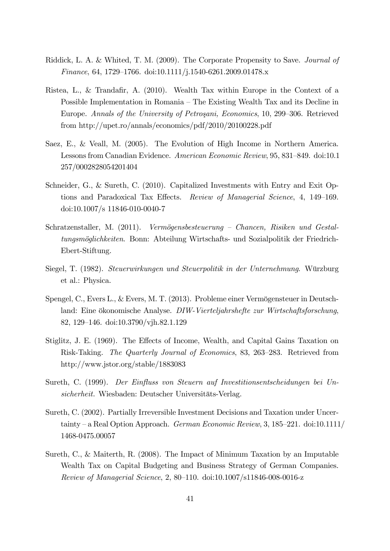- Riddick, L. A. & Whited, T. M. (2009). The Corporate Propensity to Save. Journal of Finance, 64, 1729–1766. doi:10.1111/j.1540-6261.2009.01478.x
- Ristea, L., & Trandafir, A.  $(2010)$ . Wealth Tax within Europe in the Context of a Possible Implementation in Romania – The Existing Wealth Tax and its Decline in Europe. Annals of the University of Petroşani, Economics, 10, 299–306. Retrieved from http://upet.ro/annals/economics/pdf/2010/20100228.pdf
- Saez, E., & Veall, M. (2005). The Evolution of High Income in Northern America. Lessons from Canadian Evidence. American Economic Review, 95, 831–849. doi:10.1 257/0002828054201404
- Schneider, G., & Sureth, C. (2010). Capitalized Investments with Entry and Exit Options and Paradoxical Tax Effects. Review of Managerial Science, 4, 149–169. doi:10.1007/s 11846-010-0040-7
- Schratzenstaller, M. (2011). Vermögensbesteuerung Chancen, Risiken und Gestaltungsmˆglichkeiten. Bonn: Abteilung Wirtschafts- und Sozialpolitik der Friedrich-Ebert-Stiftung.
- Siegel, T. (1982). Steuerwirkungen und Steuerpolitik in der Unternehmung. Würzburg et al.: Physica.
- Spengel, C., Evers L., & Evers, M. T. (2013). Probleme einer Vermögensteuer in Deutschland: Eine ökonomische Analyse. DIW-Vierteljahrshefte zur Wirtschaftsforschung, 82, 129–146. doi:10.3790/vjh.82.1.129
- Stiglitz, J. E. (1969). The Effects of Income, Wealth, and Capital Gains Taxation on Risk-Taking. The Quarterly Journal of Economics, 83, 263–283. Retrieved from http://www.jstor.org/stable/1883083
- Sureth, C. (1999). Der Einfluss von Steuern auf Investitionsentscheidungen bei Unsicherheit. Wiesbaden: Deutscher Universitäts-Verlag.
- Sureth, C. (2002). Partially Irreversible Investment Decisions and Taxation under Uncertainty – a Real Option Approach. German Economic Review, 3, 185–221. doi:10.1111/ 1468-0475.00057
- Sureth, C., & Maiterth, R. (2008). The Impact of Minimum Taxation by an Imputable Wealth Tax on Capital Budgeting and Business Strategy of German Companies. Review of Managerial Science, 2, 80–110. doi:10.1007/s11846-008-0016-z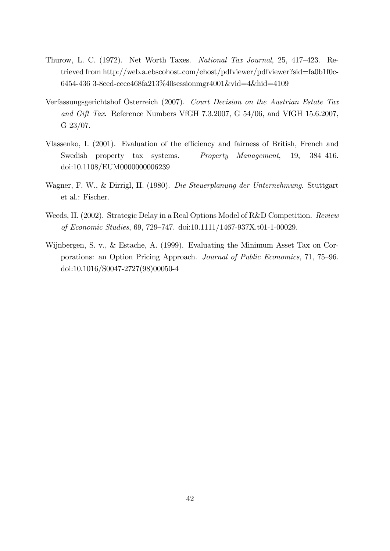- Thurow, L. C. (1972). Net Worth Taxes. National Tax Journal, 25, 417-423. Retrieved from http://web.a.ebscohost.com/ehost/pdfviewer/pdfviewer?sid=fa0b1f0c-6454-436 3-8ced-cece468fa213%40sessionmgr4001&vid=4&hid=4109
- Verfassungsgerichtshof Österreich (2007). Court Decision on the Austrian Estate Tax and Gift Tax. Reference Numbers VfGH 7.3.2007, G 54/06, and VfGH 15.6.2007, G 23/07.
- Vlassenko, I. (2001). Evaluation of the efficiency and fairness of British, French and Swedish property tax systems. Property Management, 19, 384–416. doi:10.1108/EUM0000000006239
- Wagner, F. W., & Dirrigl, H. (1980). Die Steuerplanung der Unternehmung. Stuttgart et al.: Fischer.
- Weeds, H. (2002). Strategic Delay in a Real Options Model of R&D Competition. Review of Economic Studies, 69, 729-747. doi:10.1111/1467-937X.t01-1-00029.
- Wijnbergen, S. v., & Estache, A. (1999). Evaluating the Minimum Asset Tax on Corporations: an Option Pricing Approach. Journal of Public Economics, 71, 75–96. doi:10.1016/S0047-2727(98)00050-4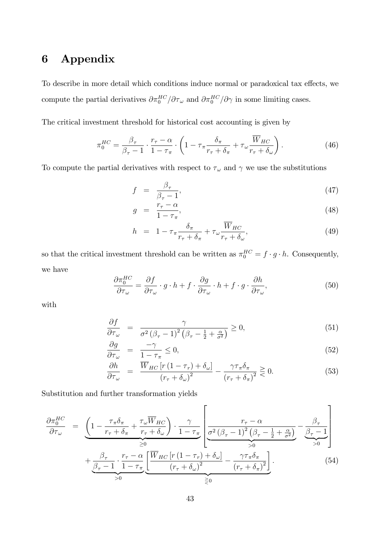## 6 Appendix

To describe in more detail which conditions induce normal or paradoxical tax effects, we compute the partial derivatives  $\partial \pi_0^{HC} / \partial \tau_\omega$  and  $\partial \pi_0^{HC} / \partial \gamma$  in some limiting cases.

The critical investment threshold for historical cost accounting is given by

$$
\pi_0^{HC} = \frac{\beta_\tau}{\beta_\tau - 1} \cdot \frac{r_\tau - \alpha}{1 - \tau_\pi} \cdot \left( 1 - \tau_\pi \frac{\delta_\pi}{r_\tau + \delta_\pi} + \tau_\omega \frac{\overline{W}_{HC}}{r_\tau + \delta_\omega} \right). \tag{46}
$$

To compute the partial derivatives with respect to  $\tau_\omega$  and  $\gamma$  we use the substitutions

$$
f = \frac{\beta_{\tau}}{\beta_{\tau} - 1},\tag{47}
$$

$$
g = \frac{r_{\tau} - \alpha}{1 - \tau_{\pi}},\tag{48}
$$

$$
h = 1 - \tau_{\pi} \frac{\delta_{\pi}}{r_{\tau} + \delta_{\pi}} + \tau_{\omega} \frac{W_{HC}}{r_{\tau} + \delta_{\omega}}, \tag{49}
$$

so that the critical investment threshold can be written as  $\pi_0^{HC} = f \cdot g \cdot h$ . Consequently, we have

$$
\frac{\partial \pi_0^{HC}}{\partial \tau_\omega} = \frac{\partial f}{\partial \tau_\omega} \cdot g \cdot h + f \cdot \frac{\partial g}{\partial \tau_\omega} \cdot h + f \cdot g \cdot \frac{\partial h}{\partial \tau_\omega},\tag{50}
$$

with

$$
\frac{\partial f}{\partial \tau_{\omega}} = \frac{\gamma}{\sigma^2 (\beta_{\tau} - 1)^2 (\beta_{\tau} - \frac{1}{2} + \frac{\alpha}{\sigma^2})} \ge 0,
$$
\n(51)

$$
\frac{\partial g}{\partial \tau_{\omega}} = \frac{-\gamma}{1 - \tau_{\pi}} \le 0,\tag{52}
$$

$$
\frac{\partial h}{\partial \tau_{\omega}} = \frac{\overline{W}_{HC} \left[ r \left( 1 - \tau_r \right) + \delta_{\omega} \right]}{\left( r_{\tau} + \delta_{\omega} \right)^2} - \frac{\gamma \tau_{\pi} \delta_{\pi}}{\left( r_{\tau} + \delta_{\pi} \right)^2} \gtrless 0. \tag{53}
$$

Substitution and further transformation yields

$$
\frac{\partial \pi_0^{HC}}{\partial \tau_{\omega}} = \underbrace{\left(1 - \frac{\tau_{\pi} \delta_{\pi}}{r_{\tau} + \delta_{\pi}} + \frac{\tau_{\omega} \overline{W}_{HC}}{r_{\tau} + \delta_{\omega}}\right) \cdot \frac{\gamma}{1 - \tau_{\pi}}}_{\geq 0} \left[\underbrace{\frac{r_{\tau} - \alpha}{\sigma^2 (\beta_{\tau} - 1)^2 (\beta_{\tau} - \frac{1}{2} + \frac{\alpha}{\sigma^2})}}_{> 0} - \underbrace{\frac{\beta_{\tau}}{\beta_{\tau} - 1}}_{> 0}\right] \cdot \underbrace{\frac{\beta_{\tau}}{\beta_{\tau} - 1}}_{\geq 0} + \underbrace{\frac{\beta_{\tau}}{\beta_{\tau} - 1} \cdot \frac{r_{\tau} - \alpha}{1 - \tau_{\pi}}}_{\geq 0} \underbrace{\left[\frac{\overline{W}_{HC} \left[r(1 - \tau_{r}) + \delta_{\omega}\right]}{(r_{\tau} + \delta_{\omega})^2} - \frac{\gamma \tau_{\pi} \delta_{\pi}}{(r_{\tau} + \delta_{\pi})^2}\right]}_{\geq 0}.
$$
\n(54)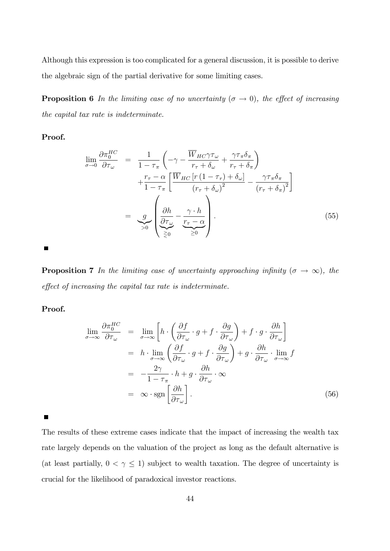Although this expression is too complicated for a general discussion, it is possible to derive the algebraic sign of the partial derivative for some limiting cases.

**Proposition 6** In the limiting case of no uncertainty  $(\sigma \to 0)$ , the effect of increasing the capital tax rate is indeterminate.

Proof.

$$
\lim_{\sigma \to 0} \frac{\partial \pi_0^{HC}}{\partial \tau_{\omega}} = \frac{1}{1 - \tau_{\pi}} \left( -\gamma - \frac{\overline{W}_{HC} \gamma \tau_{\omega}}{r_{\tau} + \delta_{\omega}} + \frac{\gamma \tau_{\pi} \delta_{\pi}}{r_{\tau} + \delta_{\pi}} \right) \n+ \frac{r_{\tau} - \alpha}{1 - \tau_{\pi}} \left[ \frac{\overline{W}_{HC} \left[ r \left( 1 - \tau_{r} \right) + \delta_{\omega} \right]}{\left( r_{\tau} + \delta_{\omega} \right)^{2}} - \frac{\gamma \tau_{\pi} \delta_{\pi}}{\left( r_{\tau} + \delta_{\pi} \right)^{2}} \right] \n= \underbrace{g}_{>0} \left( \frac{\partial h}{\partial \tau_{\omega}} - \frac{\gamma \cdot h}{r_{\tau} - \alpha} \right) . \tag{55}
$$

 $\blacksquare$ 

**Proposition 7** In the limiting case of uncertainty approaching infinity  $(\sigma \to \infty)$ , the effect of increasing the capital tax rate is indeterminate.

Proof.

$$
\lim_{\sigma \to \infty} \frac{\partial \pi_0^{HC}}{\partial \tau_{\omega}} = \lim_{\sigma \to \infty} \left[ h \cdot \left( \frac{\partial f}{\partial \tau_{\omega}} \cdot g + f \cdot \frac{\partial g}{\partial \tau_{\omega}} \right) + f \cdot g \cdot \frac{\partial h}{\partial \tau_{\omega}} \right]
$$
\n
$$
= h \cdot \lim_{\sigma \to \infty} \left( \frac{\partial f}{\partial \tau_{\omega}} \cdot g + f \cdot \frac{\partial g}{\partial \tau_{\omega}} \right) + g \cdot \frac{\partial h}{\partial \tau_{\omega}} \cdot \lim_{\sigma \to \infty} f
$$
\n
$$
= -\frac{2\gamma}{1 - \tau_{\pi}} \cdot h + g \cdot \frac{\partial h}{\partial \tau_{\omega}} \cdot \infty
$$
\n
$$
= \infty \cdot \text{sgn} \left[ \frac{\partial h}{\partial \tau_{\omega}} \right]. \tag{56}
$$

 $\blacksquare$ 

The results of these extreme cases indicate that the impact of increasing the wealth tax rate largely depends on the valuation of the project as long as the default alternative is (at least partially,  $0 < \gamma \le 1$ ) subject to wealth taxation. The degree of uncertainty is crucial for the likelihood of paradoxical investor reactions.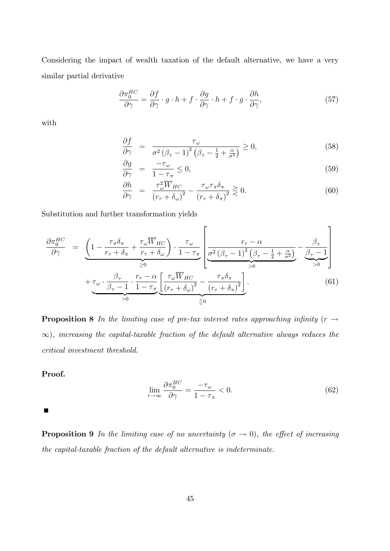Considering the impact of wealth taxation of the default alternative, we have a very similar partial derivative

$$
\frac{\partial \pi_0^{HC}}{\partial \gamma} = \frac{\partial f}{\partial \gamma} \cdot g \cdot h + f \cdot \frac{\partial g}{\partial \gamma} \cdot h + f \cdot g \cdot \frac{\partial h}{\partial \gamma},\tag{57}
$$

with

$$
\frac{\partial f}{\partial \gamma} = \frac{\tau_{\omega}}{\sigma^2 (\beta_{\tau} - 1)^2 (\beta_{\tau} - \frac{1}{2} + \frac{\alpha}{\sigma^2})} \ge 0,
$$
\n(58)

$$
\frac{\partial g}{\partial \gamma} = \frac{-\tau_{\omega}}{1 - \tau_{\pi}} \le 0,\tag{59}
$$

$$
\frac{\partial h}{\partial \gamma} = \frac{\tau_{\omega}^2 \overline{W}_{HC}}{(r_{\tau} + \delta_{\omega})^2} - \frac{\tau_{\omega} \tau_{\pi} \delta_{\pi}}{(r_{\tau} + \delta_{\pi})^2} \gtrless 0. \tag{60}
$$

Substitution and further transformation yields

$$
\frac{\partial \pi_0^{HC}}{\partial \gamma} = \underbrace{\left(1 - \frac{\tau_\pi \delta_\pi}{r_\tau + \delta_\pi} + \frac{\tau_\omega \overline{W}_{HC}}{r_\tau + \delta_\omega}\right) \cdot \frac{\tau_\omega}{1 - \tau_\pi}}_{\geq 0} \underbrace{\left[\frac{r_\tau - \alpha}{\sigma^2 (\beta_\tau - 1)^2 (\beta_\tau - \frac{1}{2} + \frac{\alpha}{\sigma^2})} - \frac{\beta_\tau}{\beta_\tau - 1}\right]}_{> 0} + \underbrace{\tau_\omega \cdot \frac{\beta_\tau}{\beta_\tau - 1} \cdot \frac{r_\tau - \alpha}{1 - \tau_\pi} \underbrace{\left[\frac{\tau_\omega \overline{W}_{HC}}{(r_\tau + \delta_\omega)^2} - \frac{\tau_\pi \delta_\pi}{(r_\tau + \delta_\pi)^2}\right]}_{\geq 0}.
$$
\n(61)

**Proposition 8** In the limiting case of pre-tax interest rates approaching infinity ( $r \rightarrow$  $\infty$ ), increasing the capital-taxable fraction of the default alternative always reduces the critical investment threshold.

#### Proof.

$$
\lim_{r \to \infty} \frac{\partial \pi_0^{HC}}{\partial \gamma} = \frac{-\tau_\omega}{1 - \tau_\pi} < 0. \tag{62}
$$

 $\blacksquare$ 

**Proposition 9** In the limiting case of no uncertainty  $(\sigma \to 0)$ , the effect of increasing the capital-taxable fraction of the default alternative is indeterminate.